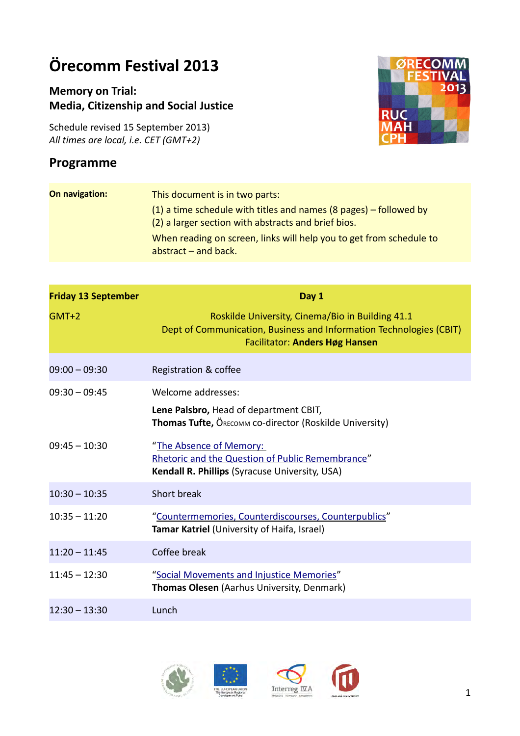# **Örecomm Festival 2013**

# **Memory on Trial: Media, Citizenship and Social Justice**

Schedule revised 15 September 2013) *All times are local, i.e. CET (GMT+2)*

# **Programme**



| On navigation: | This document is in two parts:                                                                                             |
|----------------|----------------------------------------------------------------------------------------------------------------------------|
|                | $(1)$ a time schedule with titles and names (8 pages) – followed by<br>(2) a larger section with abstracts and brief bios. |
|                | When reading on screen, links will help you to get from schedule to<br>abstract $-$ and back.                              |

<span id="page-0-0"></span>

| <b>Friday 13 September</b> | Day 1                                                                                                                                                            |
|----------------------------|------------------------------------------------------------------------------------------------------------------------------------------------------------------|
| $GMT+2$                    | Roskilde University, Cinema/Bio in Building 41.1<br>Dept of Communication, Business and Information Technologies (CBIT)<br><b>Facilitator: Anders Høg Hansen</b> |
| $09:00 - 09:30$            | Registration & coffee                                                                                                                                            |
| $09:30 - 09:45$            | Welcome addresses:                                                                                                                                               |
|                            | Lene Palsbro, Head of department CBIT,<br><b>Thomas Tufte, ÖRECOMM CO-director (Roskilde University)</b>                                                         |
| $09:45 - 10:30$            | "The Absence of Memory:<br>Rhetoric and the Question of Public Remembrance"<br>Kendall R. Phillips (Syracuse University, USA)                                    |
| $10:30 - 10:35$            | Short break                                                                                                                                                      |
| $10:35 - 11:20$            | "Countermemories, Counterdiscourses, Counterpublics"<br>Tamar Katriel (University of Haifa, Israel)                                                              |
| $11:20 - 11:45$            | Coffee break                                                                                                                                                     |
| $11:45 - 12:30$            | "Social Movements and Injustice Memories"<br>Thomas Olesen (Aarhus University, Denmark)                                                                          |
| $12:30 - 13:30$            | Lunch                                                                                                                                                            |

<span id="page-0-2"></span><span id="page-0-1"></span>



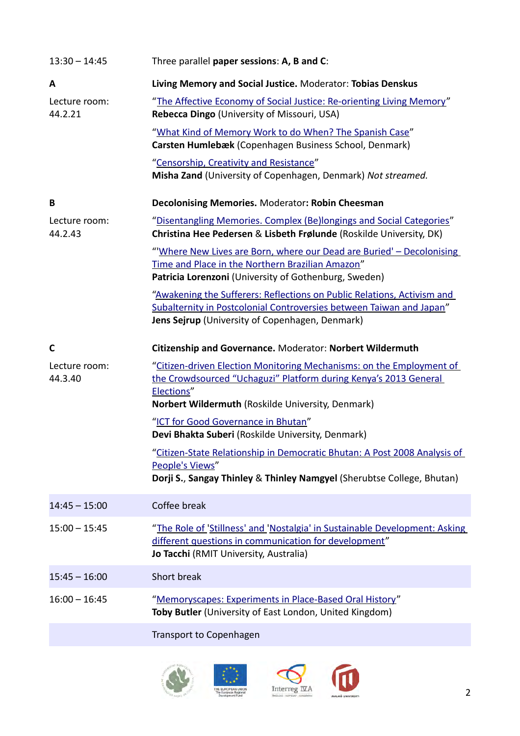<span id="page-1-6"></span><span id="page-1-4"></span><span id="page-1-3"></span><span id="page-1-2"></span><span id="page-1-1"></span><span id="page-1-0"></span>

| $13:30 - 14:45$          | Three parallel paper sessions: A, B and C:                                                                                                                                                                  |
|--------------------------|-------------------------------------------------------------------------------------------------------------------------------------------------------------------------------------------------------------|
| A                        | Living Memory and Social Justice. Moderator: Tobias Denskus                                                                                                                                                 |
| Lecture room:<br>44.2.21 | "The Affective Economy of Social Justice: Re-orienting Living Memory"<br>Rebecca Dingo (University of Missouri, USA)                                                                                        |
|                          | "What Kind of Memory Work to do When? The Spanish Case"<br>Carsten Humlebæk (Copenhagen Business School, Denmark)                                                                                           |
|                          | "Censorship, Creativity and Resistance"<br>Misha Zand (University of Copenhagen, Denmark) Not streamed.                                                                                                     |
| B                        | <b>Decolonising Memories. Moderator: Robin Cheesman</b>                                                                                                                                                     |
| Lecture room:<br>44.2.43 | "Disentangling Memories. Complex (Be)longings and Social Categories"<br>Christina Hee Pedersen & Lisbeth Frølunde (Roskilde University, DK)                                                                 |
|                          | "Where New Lives are Born, where our Dead are Buried' - Decolonising<br>Time and Place in the Northern Brazilian Amazon"<br>Patricia Lorenzoni (University of Gothenburg, Sweden)                           |
|                          | "Awakening the Sufferers: Reflections on Public Relations, Activism and<br>Subalternity in Postcolonial Controversies between Taiwan and Japan"<br>Jens Sejrup (University of Copenhagen, Denmark)          |
| C                        | Citizenship and Governance. Moderator: Norbert Wildermuth                                                                                                                                                   |
| Lecture room:<br>44.3.40 | "Citizen-driven Election Monitoring Mechanisms: on the Employment of<br>the Crowdsourced "Uchaguzi" Platform during Kenya's 2013 General<br>Elections"<br>Norbert Wildermuth (Roskilde University, Denmark) |
|                          | "ICT for Good Governance in Bhutan"<br>Devi Bhakta Suberi (Roskilde University, Denmark)                                                                                                                    |
|                          | "Citizen-State Relationship in Democratic Bhutan: A Post 2008 Analysis of<br>People's Views"<br>Dorji S., Sangay Thinley & Thinley Namgyel (Sherubtse College, Bhutan)                                      |
| $14:45 - 15:00$          | Coffee break                                                                                                                                                                                                |
| $15:00 - 15:45$          | "The Role of 'Stillness' and 'Nostalgia' in Sustainable Development: Asking<br>different questions in communication for development"<br>Jo Tacchi (RMIT University, Australia)                              |
| $15:45 - 16:00$          | Short break                                                                                                                                                                                                 |
| $16:00 - 16:45$          | "Memoryscapes: Experiments in Place-Based Oral History"<br>Toby Butler (University of East London, United Kingdom)                                                                                          |
|                          | Transport to Copenhagen                                                                                                                                                                                     |

<span id="page-1-10"></span><span id="page-1-9"></span><span id="page-1-8"></span><span id="page-1-7"></span><span id="page-1-5"></span>



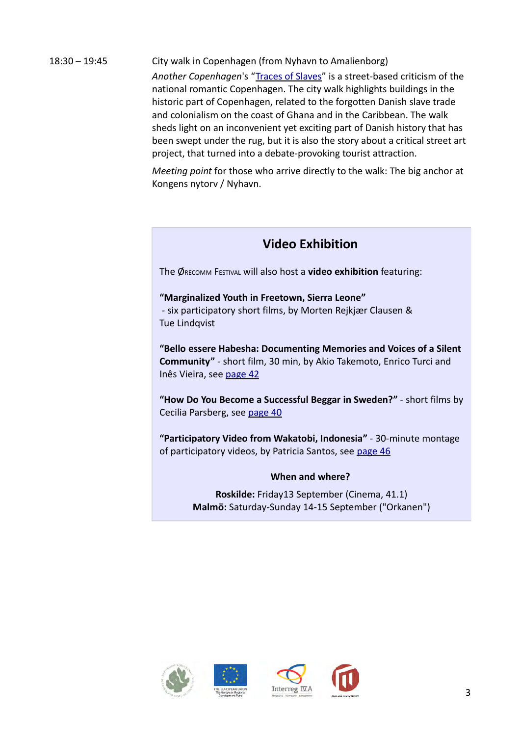# 18:30 – 19:45 City walk in Copenhagen (from Nyhavn to Amalienborg)

*Another Copenhagen*'s ["Traces of Slaves"](http://anothercopenhagen.dk/i-slavernes-spor) is a street-based criticism of the national romantic Copenhagen. The city walk highlights buildings in the historic part of Copenhagen, related to the forgotten Danish slave trade and colonialism on the coast of Ghana and in the Caribbean. The walk sheds light on an inconvenient yet exciting part of Danish history that has been swept under the rug, but it is also the story about a critical street art project, that turned into a debate-provoking tourist attraction.

*Meeting point* for those who arrive directly to the walk: The big anchor at Kongens nytorv / Nyhavn.

# **Video Exhibition**

The ØRECOMM FESTIVAL will also host a **video exhibition** featuring:

# **"Marginalized Youth in Freetown, Sierra Leone"** - six participatory short films, by Morten Rejkjær Clausen & Tue Lindqvist

**"Bello essere Habesha: Documenting Memories and Voices of a Silent Community"** - short film, 30 min, by Akio Takemoto, Enrico Turci and Inês Vieira, see page 42

**"How Do You Become a Successful Beggar in Sweden?"** - short films by Cecilia Parsberg, see page 40

**"Participatory Video from Wakatobi, Indonesia"** - 30-minute montage of participatory videos, by Patricia Santos, see page 46

# **When and where?**

**Roskilde:** Friday13 September (Cinema, 41.1) **Malmö:** Saturday-Sunday 14-15 September ("Orkanen")





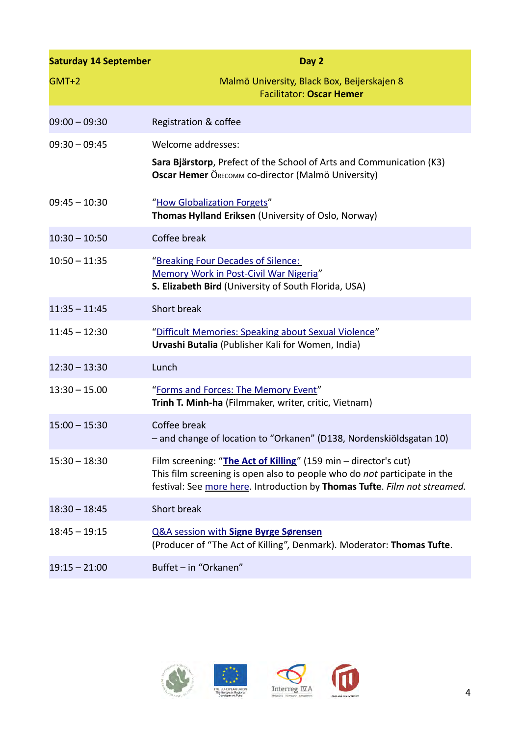<span id="page-3-2"></span><span id="page-3-1"></span><span id="page-3-0"></span>

| <b>Saturday 14 September</b> | Day 2                                                                                                                                                                                                                    |
|------------------------------|--------------------------------------------------------------------------------------------------------------------------------------------------------------------------------------------------------------------------|
| $GMT+2$                      | Malmö University, Black Box, Beijerskajen 8<br><b>Facilitator: Oscar Hemer</b>                                                                                                                                           |
| $09:00 - 09:30$              | Registration & coffee                                                                                                                                                                                                    |
| $09:30 - 09:45$              | Welcome addresses:                                                                                                                                                                                                       |
|                              | Sara Bjärstorp, Prefect of the School of Arts and Communication (K3)<br>Oscar Hemer ÖRECOMM CO-director (Malmö University)                                                                                               |
| $09:45 - 10:30$              | "How Globalization Forgets"<br>Thomas Hylland Eriksen (University of Oslo, Norway)                                                                                                                                       |
| $10:30 - 10:50$              | Coffee break                                                                                                                                                                                                             |
| $10:50 - 11:35$              | "Breaking Four Decades of Silence:<br>Memory Work in Post-Civil War Nigeria"<br>S. Elizabeth Bird (University of South Florida, USA)                                                                                     |
| $11:35 - 11:45$              | Short break                                                                                                                                                                                                              |
| $11:45 - 12:30$              | "Difficult Memories: Speaking about Sexual Violence"<br>Urvashi Butalia (Publisher Kali for Women, India)                                                                                                                |
| $12:30 - 13:30$              | Lunch                                                                                                                                                                                                                    |
| $13:30 - 15.00$              | "Forms and Forces: The Memory Event"<br>Trinh T. Minh-ha (Filmmaker, writer, critic, Vietnam)                                                                                                                            |
| $15:00 - 15:30$              | Coffee break<br>- and change of location to "Orkanen" (D138, Nordenskiöldsgatan 10)                                                                                                                                      |
| $15:30 - 18:30$              | Film screening: "The Act of Killing" (159 min - director's cut)<br>This film screening is open also to people who do not participate in the<br>festival: See more here. Introduction by Thomas Tufte. Film not streamed. |
| $18:30 - 18:45$              | Short break                                                                                                                                                                                                              |
| $18:45 - 19:15$              | <b>Q&amp;A session with Signe Byrge Sørensen</b><br>(Producer of "The Act of Killing", Denmark). Moderator: Thomas Tufte.                                                                                                |
| $19:15 - 21:00$              | Buffet - in "Orkanen"                                                                                                                                                                                                    |

<span id="page-3-4"></span><span id="page-3-3"></span>



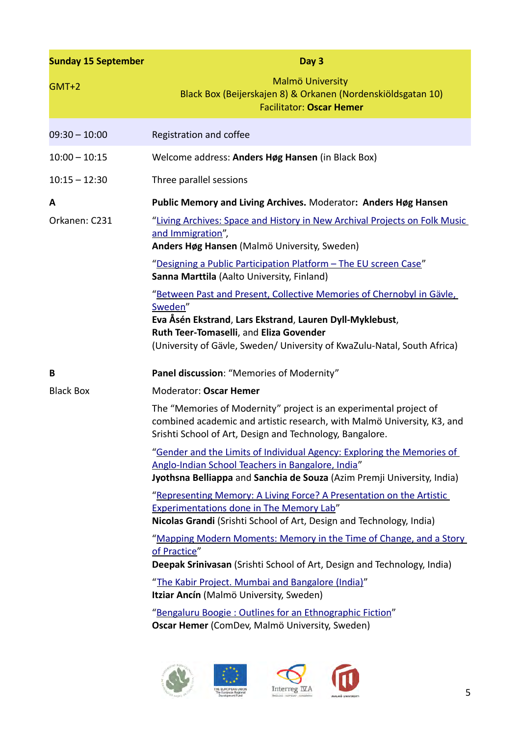<span id="page-4-2"></span><span id="page-4-1"></span><span id="page-4-0"></span>

| <b>Sunday 15 September</b> | Day 3                                                                                                                                                                                                                                                               |
|----------------------------|---------------------------------------------------------------------------------------------------------------------------------------------------------------------------------------------------------------------------------------------------------------------|
| $GMT+2$                    | Malmö University<br>Black Box (Beijerskajen 8) & Orkanen (Nordenskiöldsgatan 10)<br><b>Facilitator: Oscar Hemer</b>                                                                                                                                                 |
| $09:30 - 10:00$            | Registration and coffee                                                                                                                                                                                                                                             |
| $10:00 - 10:15$            | Welcome address: Anders Høg Hansen (in Black Box)                                                                                                                                                                                                                   |
| $10:15 - 12:30$            | Three parallel sessions                                                                                                                                                                                                                                             |
| A                          | Public Memory and Living Archives. Moderator: Anders Høg Hansen                                                                                                                                                                                                     |
| Orkanen: C231              | "Living Archives: Space and History in New Archival Projects on Folk Music<br>and Immigration",<br>Anders Høg Hansen (Malmö University, Sweden)<br>"Designing a Public Participation Platform - The EU screen Case"<br>Sanna Marttila (Aalto University, Finland)   |
|                            | "Between Past and Present, Collective Memories of Chernobyl in Gävle,<br>Sweden"<br>Eva Åsén Ekstrand, Lars Ekstrand, Lauren Dyll-Myklebust,<br>Ruth Teer-Tomaselli, and Eliza Govender<br>(University of Gävle, Sweden/ University of KwaZulu-Natal, South Africa) |
| B                          | Panel discussion: "Memories of Modernity"                                                                                                                                                                                                                           |
| <b>Black Box</b>           | Moderator: Oscar Hemer                                                                                                                                                                                                                                              |
|                            | The "Memories of Modernity" project is an experimental project of<br>combined academic and artistic research, with Malmö University, K3, and<br>Srishti School of Art, Design and Technology, Bangalore.                                                            |
|                            | "Gender and the Limits of Individual Agency: Exploring the Memories of<br>Anglo-Indian School Teachers in Bangalore, India"<br>Jyothsna Belliappa and Sanchia de Souza (Azim Premji University, India)                                                              |
|                            | "Representing Memory: A Living Force? A Presentation on the Artistic<br><b>Experimentations done in The Memory Lab"</b><br>Nicolas Grandi (Srishti School of Art, Design and Technology, India)                                                                     |
|                            | "Mapping Modern Moments: Memory in the Time of Change, and a Story<br>of Practice"                                                                                                                                                                                  |
|                            | Deepak Srinivasan (Srishti School of Art, Design and Technology, India)                                                                                                                                                                                             |
|                            | "The Kabir Project. Mumbai and Bangalore (India)"<br>Itziar Ancín (Malmö University, Sweden)                                                                                                                                                                        |
|                            | "Bengaluru Boogie: Outlines for an Ethnographic Fiction"<br>Oscar Hemer (ComDev, Malmö University, Sweden)                                                                                                                                                          |

<span id="page-4-7"></span><span id="page-4-6"></span><span id="page-4-5"></span><span id="page-4-4"></span><span id="page-4-3"></span>

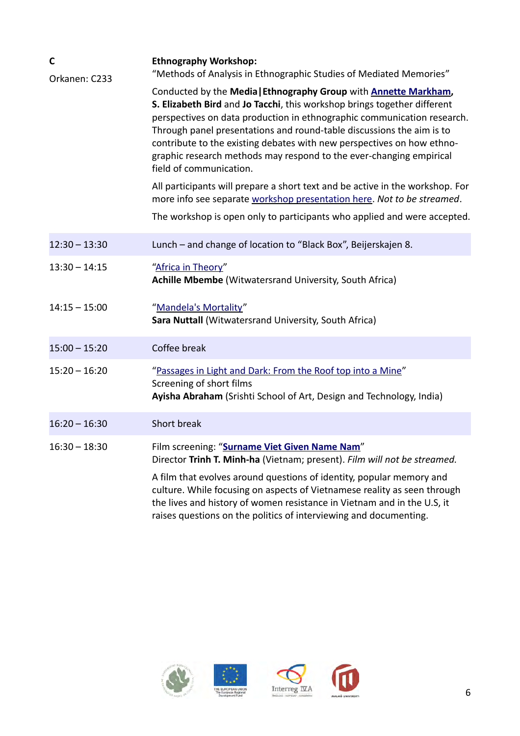<span id="page-5-2"></span><span id="page-5-1"></span><span id="page-5-0"></span>

| C<br>Orkanen: C233 | <b>Ethnography Workshop:</b><br>"Methods of Analysis in Ethnographic Studies of Mediated Memories"                                                                                                                                                                                                                                                                                                                                                                                   |
|--------------------|--------------------------------------------------------------------------------------------------------------------------------------------------------------------------------------------------------------------------------------------------------------------------------------------------------------------------------------------------------------------------------------------------------------------------------------------------------------------------------------|
|                    | Conducted by the Media   Ethnography Group with <b>Annette Markham</b> ,<br>S. Elizabeth Bird and Jo Tacchi, this workshop brings together different<br>perspectives on data production in ethnographic communication research.<br>Through panel presentations and round-table discussions the aim is to<br>contribute to the existing debates with new perspectives on how ethno-<br>graphic research methods may respond to the ever-changing empirical<br>field of communication. |
|                    | All participants will prepare a short text and be active in the workshop. For<br>more info see separate workshop presentation here. Not to be streamed.<br>The workshop is open only to participants who applied and were accepted.                                                                                                                                                                                                                                                  |
|                    |                                                                                                                                                                                                                                                                                                                                                                                                                                                                                      |
| $12:30 - 13:30$    | Lunch - and change of location to "Black Box", Beijerskajen 8.                                                                                                                                                                                                                                                                                                                                                                                                                       |
| $13:30 - 14:15$    | "Africa in Theory"<br>Achille Mbembe (Witwatersrand University, South Africa)                                                                                                                                                                                                                                                                                                                                                                                                        |
| $14:15 - 15:00$    | "Mandela's Mortality"<br>Sara Nuttall (Witwatersrand University, South Africa)                                                                                                                                                                                                                                                                                                                                                                                                       |
| $15:00 - 15:20$    | Coffee break                                                                                                                                                                                                                                                                                                                                                                                                                                                                         |
| $15:20 - 16:20$    | "Passages in Light and Dark: From the Roof top into a Mine"<br>Screening of short films<br>Ayisha Abraham (Srishti School of Art, Design and Technology, India)                                                                                                                                                                                                                                                                                                                      |
| $16:20 - 16:30$    | Short break                                                                                                                                                                                                                                                                                                                                                                                                                                                                          |
| $16:30 - 18:30$    | Film screening: "Surname Viet Given Name Nam"<br>Director Trinh T. Minh-ha (Vietnam; present). Film will not be streamed.                                                                                                                                                                                                                                                                                                                                                            |
|                    | A film that evolves around questions of identity, popular memory and<br>culture. While focusing on aspects of Vietnamese reality as seen through<br>the lives and history of women resistance in Vietnam and in the U.S, it<br>raises questions on the politics of interviewing and documenting.                                                                                                                                                                                     |

<span id="page-5-3"></span>



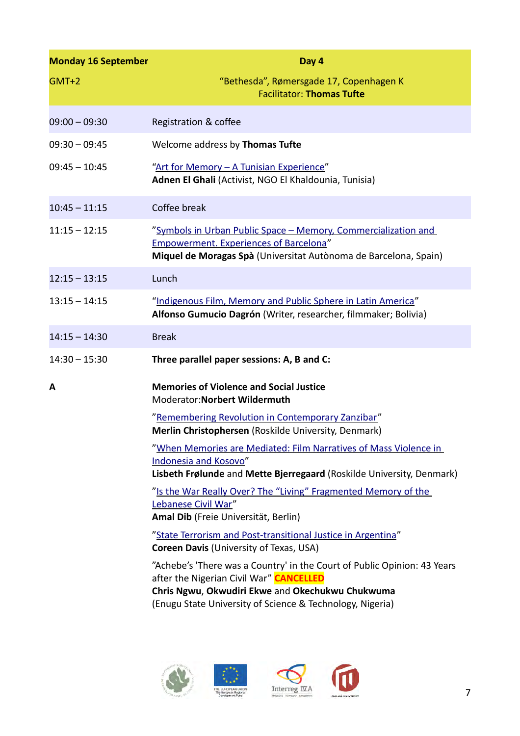<span id="page-6-2"></span><span id="page-6-1"></span><span id="page-6-0"></span>

| <b>Monday 16 September</b> | Day 4                                                                                                                                                                                                                                |
|----------------------------|--------------------------------------------------------------------------------------------------------------------------------------------------------------------------------------------------------------------------------------|
| $GMT+2$                    | "Bethesda", Rømersgade 17, Copenhagen K<br><b>Facilitator: Thomas Tufte</b>                                                                                                                                                          |
| $09:00 - 09:30$            | Registration & coffee                                                                                                                                                                                                                |
| $09:30 - 09:45$            | Welcome address by Thomas Tufte                                                                                                                                                                                                      |
| $09:45 - 10:45$            | "Art for Memory - A Tunisian Experience"<br>Adnen El Ghali (Activist, NGO El Khaldounia, Tunisia)                                                                                                                                    |
| $10:45 - 11:15$            | Coffee break                                                                                                                                                                                                                         |
| $11:15 - 12:15$            | "Symbols in Urban Public Space - Memory, Commercialization and<br><b>Empowerment. Experiences of Barcelona"</b><br>Miquel de Moragas Spà (Universitat Autònoma de Barcelona, Spain)                                                  |
| $12:15 - 13:15$            | Lunch                                                                                                                                                                                                                                |
| $13:15 - 14:15$            | "Indigenous Film, Memory and Public Sphere in Latin America"<br>Alfonso Gumucio Dagrón (Writer, researcher, filmmaker; Bolivia)                                                                                                      |
| $14:15 - 14:30$            | <b>Break</b>                                                                                                                                                                                                                         |
| $14:30 - 15:30$            | Three parallel paper sessions: A, B and C:                                                                                                                                                                                           |
| Α                          | <b>Memories of Violence and Social Justice</b><br>Moderator: Norbert Wildermuth                                                                                                                                                      |
|                            | "Remembering Revolution in Contemporary Zanzibar"<br>Merlin Christophersen (Roskilde University, Denmark)                                                                                                                            |
|                            | "When Memories are Mediated: Film Narratives of Mass Violence in<br>Indonesia and Kosovo"<br>Lisbeth Frølunde and Mette Bjerregaard (Roskilde University, Denmark)                                                                   |
|                            | "Is the War Really Over? The "Living" Fragmented Memory of the<br>Lebanese Civil War"<br>Amal Dib (Freie Universität, Berlin)                                                                                                        |
|                            | "State Terrorism and Post-transitional Justice in Argentina"<br><b>Coreen Davis (University of Texas, USA)</b>                                                                                                                       |
|                            | "Achebe's 'There was a Country' in the Court of Public Opinion: 43 Years<br>after the Nigerian Civil War" CANCELLED<br>Chris Ngwu, Okwudiri Ekwe and Okechukwu Chukwuma<br>(Enugu State University of Science & Technology, Nigeria) |

<span id="page-6-6"></span><span id="page-6-5"></span><span id="page-6-4"></span><span id="page-6-3"></span>



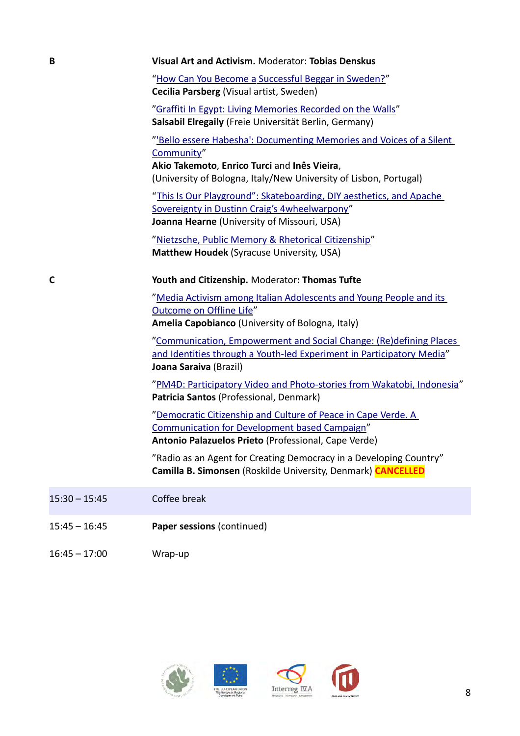### **B Visual Art and Activism.** Moderator: **Tobias Denskus**

<span id="page-7-0"></span>"How Can You Become a Successful Beggar in Sweden?" **Cecilia Parsberg** (Visual artist, Sweden)

<span id="page-7-1"></span>["Graffiti In Egypt: Living Memories Recorded on the Walls"](#page-40-0) **Salsabil Elregaily** (Freie Universität Berlin, Germany)

<span id="page-7-2"></span>["'Bello essere Habesha': Documenting Memories and Voices of a Silent](#page-41-0)  [Community"](#page-41-0)

**Akio Takemoto**, **Enrico Turci** and **Inês Vieira**, (University of Bologna, Italy/New University of Lisbon, Portugal)

<span id="page-7-3"></span>["This Is Our Playground": Skateboarding, DIY aesthetics, and Apache](#page-42-0)  [Sovereignty in Dustinn Craig's 4wheelwarpony"](#page-42-0) **Joanna Hearne** (University of Missouri, USA)

<span id="page-7-4"></span>["Nietzsche, Public Memory & Rhetorical Citizenship"](#page-43-0) **Matthew Houdek** (Syracuse University, USA)

### **C Youth and Citizenship.** Moderator**: Thomas Tufte**

<span id="page-7-6"></span>["Media Activism among Italian Adolescents and Young People and its](#page-44-1)  [Outcome on Offline Life"](#page-44-1) **Amelia Capobianco** (University of Bologna, Italy)

<span id="page-7-5"></span>"Communication, Empowerment and Social Change: (Re)defining Places and I dentities through a Youth-led Experiment in Participatory Media" **Joana Saraiva** (Brazil)

<span id="page-7-7"></span>["PM4D: Participatory Video and Photo-stories from Wakatobi, Indonesia"](#page-45-0) **Patricia Santos** (Professional, Denmark)

<span id="page-7-8"></span>["Democratic Citizenship and Culture of Peace in Cape Verde. A](#page-46-0)  [Communication for Development based Campaign"](#page-46-0) **Antonio Palazuelos Prieto** (Professional, Cape Verde)

"Radio as an Agent for Creating Democracy in a Developing Country" **Camilla B. Simonsen** (Roskilde University, Denmark) **CANCELLED**

- 15:30 15:45 Coffee break
- 15:45 16:45 **Paper sessions** (continued)
- 16:45 17:00 Wrap-up





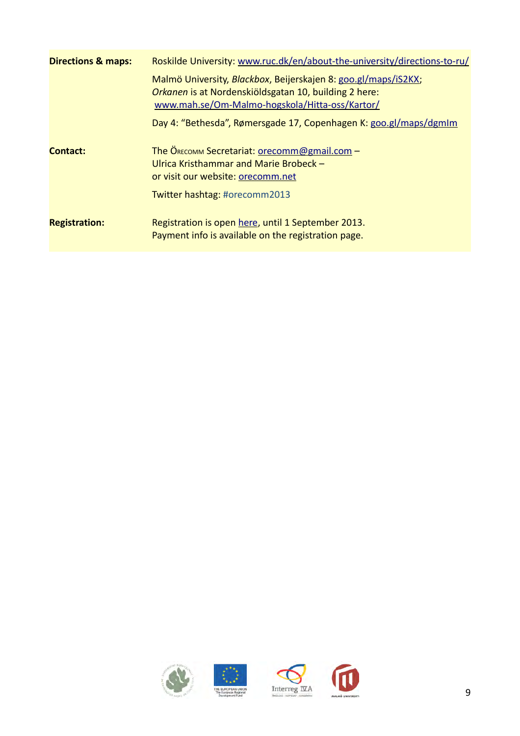| <b>Directions &amp; maps:</b> | Roskilde University: www.ruc.dk/en/about-the-university/directions-to-ru/                                                                                                 |
|-------------------------------|---------------------------------------------------------------------------------------------------------------------------------------------------------------------------|
|                               | Malmö University, Blackbox, Beijerskajen 8: goo.gl/maps/iS2KX;<br>Orkanen is at Nordenskiöldsgatan 10, building 2 here:<br>www.mah.se/Om-Malmo-hogskola/Hitta-oss/Kartor/ |
|                               | Day 4: "Bethesda", Rømersgade 17, Copenhagen K: goo.gl/maps/dgmlm                                                                                                         |
| Contact:                      | The Окесомм Secretariat: orecomm@gmail.com -<br>Ulrica Kristhammar and Marie Brobeck -<br>or visit our website: orecomm.net<br>Twitter hashtag: #orecomm2013              |
| <b>Registration:</b>          | Registration is open here, until 1 September 2013.<br>Payment info is available on the registration page.                                                                 |





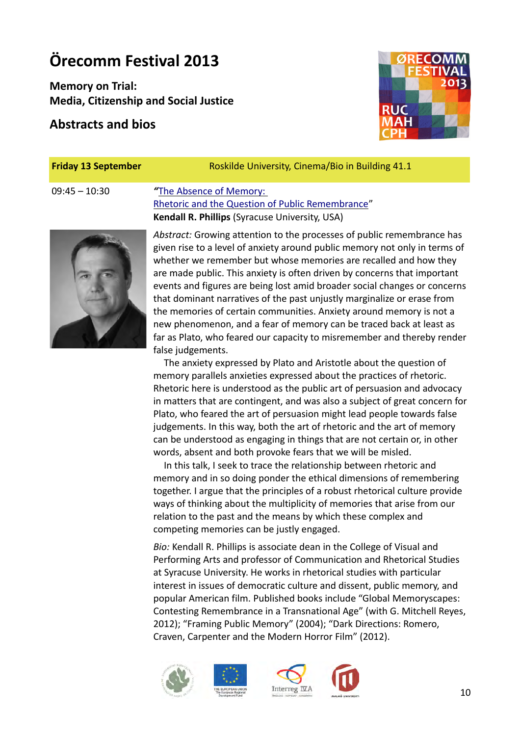# **Örecomm Festival 2013**

**Memory on Trial: Media, Citizenship and Social Justice**

# **Abstracts and bios**

**Friday 13 September** Roskilde University, Cinema/Bio in Building 41.1

# 09:45 – 10:30 *"*[The Absence of Memory:](#page-0-0)  [Rhetoric and the Question of Public Remembrance"](#page-0-0) **Kendall R. Phillips** (Syracuse University, USA)

<span id="page-9-0"></span>*Abstract:* Growing attention to the processes of public remembrance has given rise to a level of anxiety around public memory not only in terms of whether we remember but whose memories are recalled and how they are made public. This anxiety is often driven by concerns that important events and figures are being lost amid broader social changes or concerns that dominant narratives of the past unjustly marginalize or erase from the memories of certain communities. Anxiety around memory is not a new phenomenon, and a fear of memory can be traced back at least as far as Plato, who feared our capacity to misremember and thereby render false judgements.

The anxiety expressed by Plato and Aristotle about the question of memory parallels anxieties expressed about the practices of rhetoric. Rhetoric here is understood as the public art of persuasion and advocacy in matters that are contingent, and was also a subject of great concern for Plato, who feared the art of persuasion might lead people towards false judgements. In this way, both the art of rhetoric and the art of memory can be understood as engaging in things that are not certain or, in other words, absent and both provoke fears that we will be misled.

In this talk, I seek to trace the relationship between rhetoric and memory and in so doing ponder the ethical dimensions of remembering together. I argue that the principles of a robust rhetorical culture provide ways of thinking about the multiplicity of memories that arise from our relation to the past and the means by which these complex and competing memories can be justly engaged.

*Bio:* Kendall R. Phillips is associate dean in the College of Visual and Performing Arts and professor of Communication and Rhetorical Studies at Syracuse University. He works in rhetorical studies with particular interest in issues of democratic culture and dissent, public memory, and popular American film. Published books include "Global Memoryscapes: Contesting Remembrance in a Transnational Age" (with G. Mitchell Reyes, 2012); "Framing Public Memory" (2004); "Dark Directions: Romero, Craven, Carpenter and the Modern Horror Film" (2012).







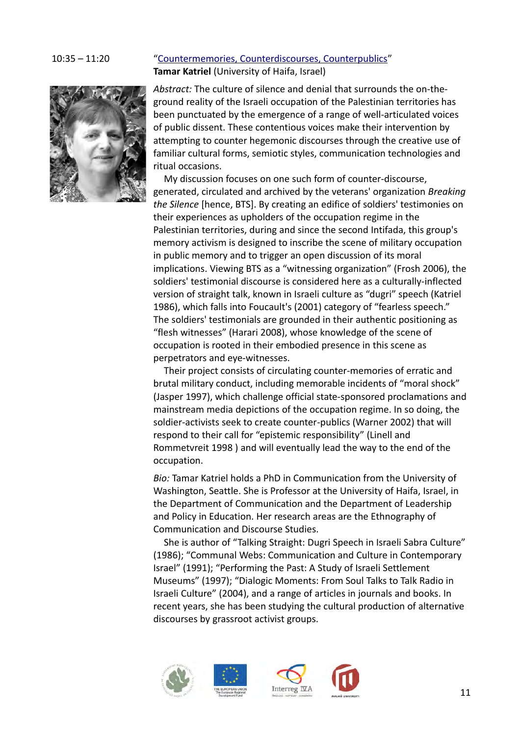

# 10:35 – 11:20 ["Countermemories, Counterdiscourses, Counterpublics"](#page-0-1) **Tamar Katriel** (University of Haifa, Israel)

<span id="page-10-0"></span>*Abstract:* The culture of silence and denial that surrounds the on-theground reality of the Israeli occupation of the Palestinian territories has been punctuated by the emergence of a range of well-articulated voices of public dissent. These contentious voices make their intervention by attempting to counter hegemonic discourses through the creative use of familiar cultural forms, semiotic styles, communication technologies and ritual occasions.

My discussion focuses on one such form of counter-discourse, generated, circulated and archived by the veterans' organization *Breaking the Silence* [hence, BTS]. By creating an edifice of soldiers' testimonies on their experiences as upholders of the occupation regime in the Palestinian territories, during and since the second Intifada, this group's memory activism is designed to inscribe the scene of military occupation in public memory and to trigger an open discussion of its moral implications. Viewing BTS as a "witnessing organization" (Frosh 2006), the soldiers' testimonial discourse is considered here as a culturally-inflected version of straight talk, known in Israeli culture as "dugri" speech (Katriel 1986), which falls into Foucault's (2001) category of "fearless speech." The soldiers' testimonials are grounded in their authentic positioning as "flesh witnesses" (Harari 2008), whose knowledge of the scene of occupation is rooted in their embodied presence in this scene as perpetrators and eye-witnesses.

Their project consists of circulating counter-memories of erratic and brutal military conduct, including memorable incidents of "moral shock" (Jasper 1997), which challenge official state-sponsored proclamations and mainstream media depictions of the occupation regime. In so doing, the soldier-activists seek to create counter-publics (Warner 2002) that will respond to their call for "epistemic responsibility" (Linell and Rommetvreit 1998 ) and will eventually lead the way to the end of the occupation.

*Bio:* Tamar Katriel holds a PhD in Communication from the University of Washington, Seattle. She is Professor at the University of Haifa, Israel, in the Department of Communication and the Department of Leadership and Policy in Education. Her research areas are the Ethnography of Communication and Discourse Studies.

She is author of "Talking Straight: Dugri Speech in Israeli Sabra Culture" (1986); "Communal Webs: Communication and Culture in Contemporary Israel" (1991); "Performing the Past: A Study of Israeli Settlement Museums" (1997); "Dialogic Moments: From Soul Talks to Talk Radio in Israeli Culture" (2004), and a range of articles in journals and books. In recent years, she has been studying the cultural production of alternative discourses by grassroot activist groups.





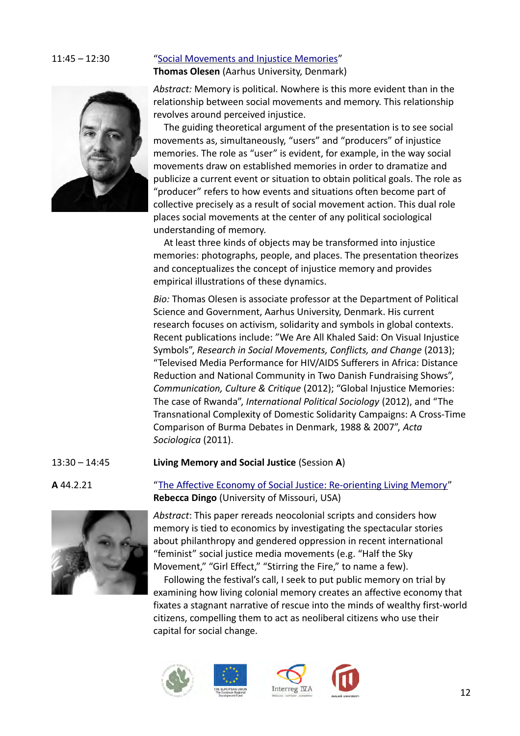### 11:45 – 12:30 ["Social Movements and Injustice Memories"](#page-0-2) **Thomas Olesen** (Aarhus University, Denmark)



<span id="page-11-0"></span>*Abstract:* Memory is political. Nowhere is this more evident than in the relationship between social movements and memory. This relationship revolves around perceived injustice.

The guiding theoretical argument of the presentation is to see social movements as, simultaneously, "users" and "producers" of injustice memories. The role as "user" is evident, for example, in the way social movements draw on established memories in order to dramatize and publicize a current event or situation to obtain political goals. The role as "producer" refers to how events and situations often become part of collective precisely as a result of social movement action. This dual role places social movements at the center of any political sociological understanding of memory.

At least three kinds of objects may be transformed into injustice memories: photographs, people, and places. The presentation theorizes and conceptualizes the concept of injustice memory and provides empirical illustrations of these dynamics.

*Bio:* Thomas Olesen is associate professor at the Department of Political Science and Government, Aarhus University, Denmark. His current research focuses on activism, solidarity and symbols in global contexts. Recent publications include: "We Are All Khaled Said: On Visual Injustice Symbols", *Research in Social Movements, Conflicts, and Change* (2013); "Televised Media Performance for HIV/AIDS Sufferers in Africa: Distance Reduction and National Community in Two Danish Fundraising Shows", *Communication, Culture & Critique* (2012); "Global Injustice Memories: The case of Rwanda", *International Political Sociology* (2012), and "The Transnational Complexity of Domestic Solidarity Campaigns: A Cross-Time Comparison of Burma Debates in Denmark, 1988 & 2007", *Acta Sociologica* (2011).

13:30 – 14:45 **Living Memory and Social Justice** (Session **A**)



**A** 44.2.21 ["The Affective Economy of Social Justice: Re-orienting Living Memory"](#page-1-0) **Rebecca Dingo** (University of Missouri, USA)

> <span id="page-11-1"></span>*Abstract*: This paper rereads neocolonial scripts and considers how memory is tied to economics by investigating the spectacular stories about philanthropy and gendered oppression in recent international "feminist" social justice media movements (e.g. "Half the Sky Movement," "Girl Effect," "Stirring the Fire," to name a few).

Following the festival's call, I seek to put public memory on trial by examining how living colonial memory creates an affective economy that fixates a stagnant narrative of rescue into the minds of wealthy first-world citizens, compelling them to act as neoliberal citizens who use their capital for social change.





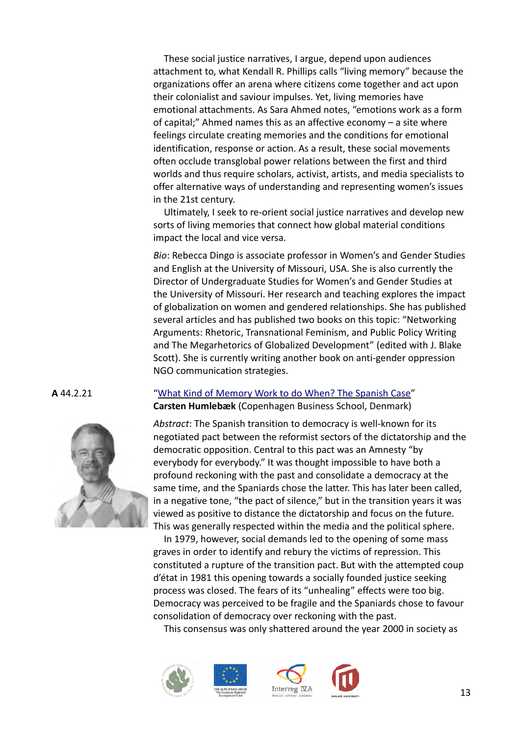These social justice narratives, I argue, depend upon audiences attachment to, what Kendall R. Phillips calls "living memory" because the organizations offer an arena where citizens come together and act upon their colonialist and saviour impulses. Yet, living memories have emotional attachments. As Sara Ahmed notes, "emotions work as a form of capital;" Ahmed names this as an affective economy – a site where feelings circulate creating memories and the conditions for emotional identification, response or action. As a result, these social movements often occlude transglobal power relations between the first and third worlds and thus require scholars, activist, artists, and media specialists to offer alternative ways of understanding and representing women's issues in the 21st century.

Ultimately, I seek to re-orient social justice narratives and develop new sorts of living memories that connect how global material conditions impact the local and vice versa.

*Bio*: Rebecca Dingo is associate professor in Women's and Gender Studies and English at the University of Missouri, USA. She is also currently the Director of Undergraduate Studies for Women's and Gender Studies at the University of Missouri. Her research and teaching explores the impact of globalization on women and gendered relationships. She has published several articles and has published two books on this topic: "Networking Arguments: Rhetoric, Transnational Feminism, and Public Policy Writing and The Megarhetorics of Globalized Development" (edited with J. Blake Scott). She is currently writing another book on anti-gender oppression NGO communication strategies.



**A** 44.2.21 ["What Kind of Memory Work to do When? The Spanish Case"](#page-1-1) **Carsten Humlebæk** (Copenhagen Business School, Denmark)

> <span id="page-12-0"></span>*Abstract*: The Spanish transition to democracy is well-known for its negotiated pact between the reformist sectors of the dictatorship and the democratic opposition. Central to this pact was an Amnesty "by everybody for everybody." It was thought impossible to have both a profound reckoning with the past and consolidate a democracy at the same time, and the Spaniards chose the latter. This has later been called, in a negative tone, "the pact of silence," but in the transition years it was viewed as positive to distance the dictatorship and focus on the future. This was generally respected within the media and the political sphere.

> In 1979, however, social demands led to the opening of some mass graves in order to identify and rebury the victims of repression. This constituted a rupture of the transition pact. But with the attempted coup d'état in 1981 this opening towards a socially founded justice seeking process was closed. The fears of its "unhealing" effects were too big. Democracy was perceived to be fragile and the Spaniards chose to favour consolidation of democracy over reckoning with the past.

This consensus was only shattered around the year 2000 in society as







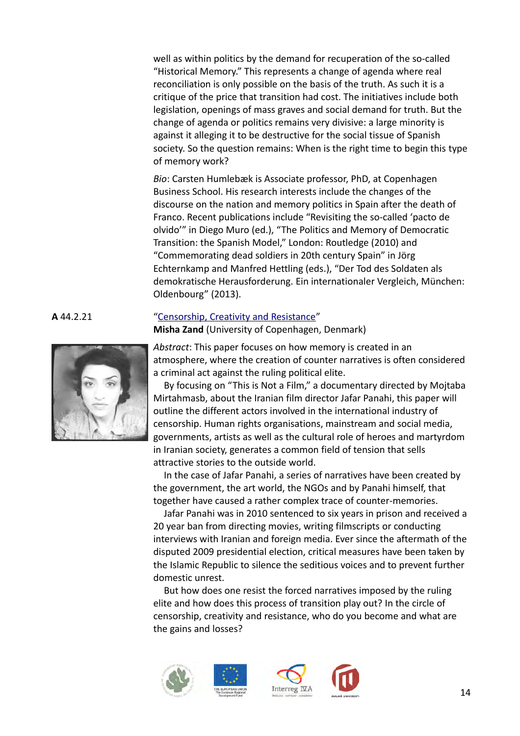well as within politics by the demand for recuperation of the so-called "Historical Memory." This represents a change of agenda where real reconciliation is only possible on the basis of the truth. As such it is a critique of the price that transition had cost. The initiatives include both legislation, openings of mass graves and social demand for truth. But the change of agenda or politics remains very divisive: a large minority is against it alleging it to be destructive for the social tissue of Spanish society. So the question remains: When is the right time to begin this type of memory work?

*Bio*: Carsten Humlebæk is Associate professor, PhD, at Copenhagen Business School. His research interests include the changes of the discourse on the nation and memory politics in Spain after the death of Franco. Recent publications include "Revisiting the so-called 'pacto de olvido'" in Diego Muro (ed.), "The Politics and Memory of Democratic Transition: the Spanish Model," London: Routledge (2010) and "Commemorating dead soldiers in 20th century Spain" in Jörg Echternkamp and Manfred Hettling (eds.), "Der Tod des Soldaten als demokratische Herausforderung. Ein internationaler Vergleich, München: Oldenbourg" (2013).



### **A** 44.2.21 ["Censorship, Creativity and Resistance"](#page-1-2)

<span id="page-13-0"></span>**Misha Zand** (University of Copenhagen, Denmark)

*Abstract*: This paper focuses on how memory is created in an atmosphere, where the creation of counter narratives is often considered a criminal act against the ruling political elite.

By focusing on "This is Not a Film," a documentary directed by Mojtaba Mirtahmasb, about the Iranian film director Jafar Panahi, this paper will outline the different actors involved in the international industry of censorship. Human rights organisations, mainstream and social media, governments, artists as well as the cultural role of heroes and martyrdom in Iranian society, generates a common field of tension that sells attractive stories to the outside world.

In the case of Jafar Panahi, a series of narratives have been created by the government, the art world, the NGOs and by Panahi himself, that together have caused a rather complex trace of counter-memories.

Jafar Panahi was in 2010 sentenced to six years in prison and received a 20 year ban from directing movies, writing filmscripts or conducting interviews with Iranian and foreign media. Ever since the aftermath of the disputed 2009 presidential election, critical measures have been taken by the Islamic Republic to silence the seditious voices and to prevent further domestic unrest.

But how does one resist the forced narratives imposed by the ruling elite and how does this process of transition play out? In the circle of censorship, creativity and resistance, who do you become and what are the gains and losses?





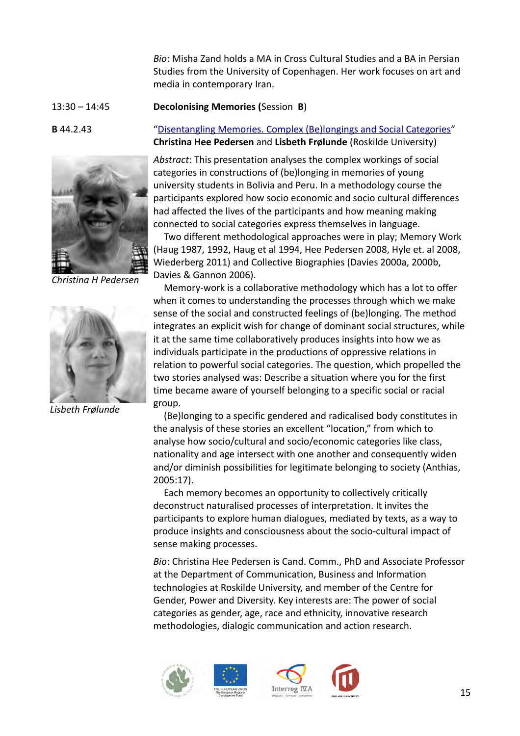*Bio*: Misha Zand holds a MA in Cross Cultural Studies and a BA in Persian Studies from the University of Copenhagen. Her work focuses on art and media in contemporary Iran.

# 13:30 – 14:45 **Decolonising Memories (**Session **B**)



*Christina H Pedersen*



*Lisbeth Frølunde*

**B** 44.2.43 ["Disentangling Memories. Complex \(Be\)longings and Social Categories"](#page-1-3) **Christina Hee Pedersen** and **Lisbeth Frølunde** (Roskilde University)

> <span id="page-14-0"></span>*Abstract*: This presentation analyses the complex workings of social categories in constructions of (be)longing in memories of young university students in Bolivia and Peru. In a methodology course the participants explored how socio economic and socio cultural differences had affected the lives of the participants and how meaning making connected to social categories express themselves in language.

> Two different methodological approaches were in play; Memory Work (Haug 1987, 1992, Haug et al 1994, Hee Pedersen 2008, Hyle et. al 2008, Wiederberg 2011) and Collective Biographies (Davies 2000a, 2000b, Davies & Gannon 2006).

> Memory-work is a collaborative methodology which has a lot to offer when it comes to understanding the processes through which we make sense of the social and constructed feelings of (be)longing. The method integrates an explicit wish for change of dominant social structures, while it at the same time collaboratively produces insights into how we as individuals participate in the productions of oppressive relations in relation to powerful social categories. The question, which propelled the two stories analysed was: Describe a situation where you for the first time became aware of yourself belonging to a specific social or racial group.

(Be)longing to a specific gendered and radicalised body constitutes in the analysis of these stories an excellent "location," from which to analyse how socio/cultural and socio/economic categories like class, nationality and age intersect with one another and consequently widen and/or diminish possibilities for legitimate belonging to society (Anthias, 2005:17).

Each memory becomes an opportunity to collectively critically deconstruct naturalised processes of interpretation. It invites the participants to explore human dialogues, mediated by texts, as a way to produce insights and consciousness about the socio-cultural impact of sense making processes.

*Bio*: Christina Hee Pedersen is Cand. Comm., PhD and Associate Professor at the Department of Communication, Business and Information technologies at Roskilde University, and member of the Centre for Gender, Power and Diversity. Key interests are: The power of social categories as gender, age, race and ethnicity, innovative research methodologies, dialogic communication and action research.





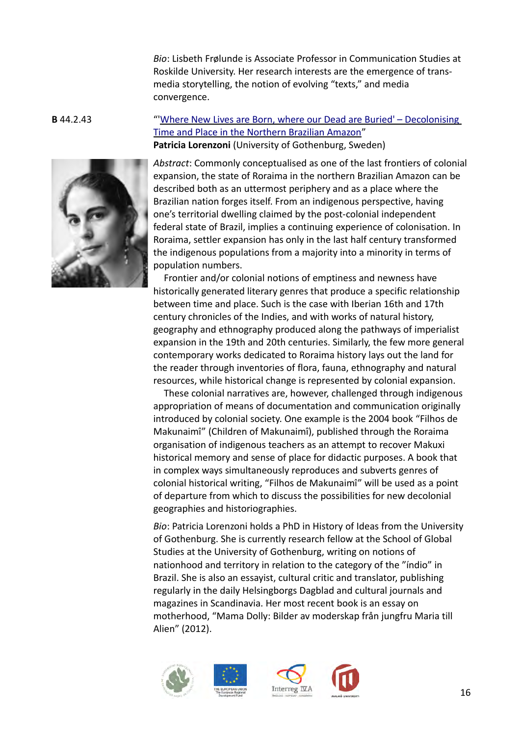*Bio*: Lisbeth Frølunde is Associate Professor in Communication Studies at Roskilde University. Her research interests are the emergence of transmedia storytelling, the notion of evolving "texts," and media convergence.



# **B** 44.2.43 "['Where New Lives are Born, where our Dead are Buried' – Decolonising](#page-1-4)  [Time and Place in the Northern Brazilian Amazon"](#page-1-4) **Patricia Lorenzoni** (University of Gothenburg, Sweden)

<span id="page-15-0"></span>*Abstract*: Commonly conceptualised as one of the last frontiers of colonial expansion, the state of Roraima in the northern Brazilian Amazon can be described both as an uttermost periphery and as a place where the Brazilian nation forges itself. From an indigenous perspective, having one's territorial dwelling claimed by the post-colonial independent federal state of Brazil, implies a continuing experience of colonisation. In Roraima, settler expansion has only in the last half century transformed the indigenous populations from a majority into a minority in terms of population numbers.

Frontier and/or colonial notions of emptiness and newness have historically generated literary genres that produce a specific relationship between time and place. Such is the case with Iberian 16th and 17th century chronicles of the Indies, and with works of natural history, geography and ethnography produced along the pathways of imperialist expansion in the 19th and 20th centuries. Similarly, the few more general contemporary works dedicated to Roraima history lays out the land for the reader through inventories of flora, fauna, ethnography and natural resources, while historical change is represented by colonial expansion.

These colonial narratives are, however, challenged through indigenous appropriation of means of documentation and communication originally introduced by colonial society. One example is the 2004 book "Filhos de Makunaimî" (Children of Makunaimî), published through the Roraima organisation of indigenous teachers as an attempt to recover Makuxi historical memory and sense of place for didactic purposes. A book that in complex ways simultaneously reproduces and subverts genres of colonial historical writing, "Filhos de Makunaimî" will be used as a point of departure from which to discuss the possibilities for new decolonial geographies and historiographies.

*Bio*: Patricia Lorenzoni holds a PhD in History of Ideas from the University of Gothenburg. She is currently research fellow at the School of Global Studies at the University of Gothenburg, writing on notions of nationhood and territory in relation to the category of the "índio" in Brazil. She is also an essayist, cultural critic and translator, publishing regularly in the daily Helsingborgs Dagblad and cultural journals and magazines in Scandinavia. Her most recent book is an essay on motherhood, "Mama Dolly: Bilder av moderskap från jungfru Maria till Alien" (2012).





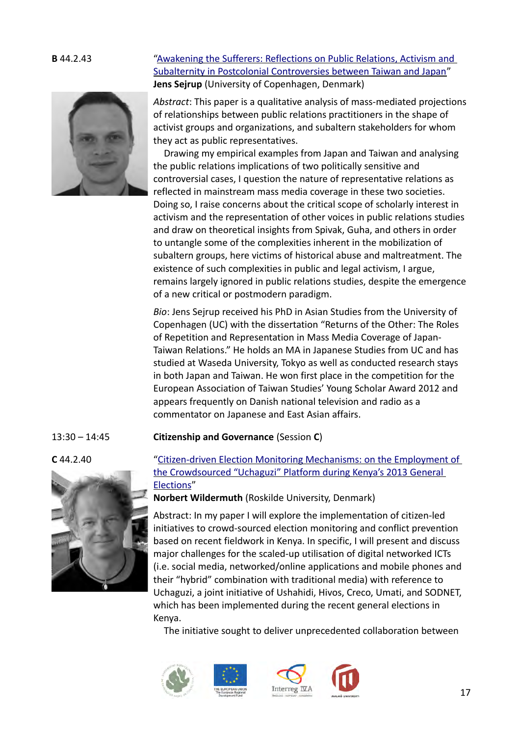

# **B** 44.2.43 ["Awakening the Sufferers: Reflections on Public Relations, Activism and](#page-1-6)  [Subalternity in Postcolonial Controversies between Taiwan and Japan"](#page-1-6) **Jens Sejrup** (University of Copenhagen, Denmark)

<span id="page-16-1"></span>*Abstract*: This paper is a qualitative analysis of mass-mediated projections of relationships between public relations practitioners in the shape of activist groups and organizations, and subaltern stakeholders for whom they act as public representatives.

Drawing my empirical examples from Japan and Taiwan and analysing the public relations implications of two politically sensitive and controversial cases, I question the nature of representative relations as reflected in mainstream mass media coverage in these two societies. Doing so, I raise concerns about the critical scope of scholarly interest in activism and the representation of other voices in public relations studies and draw on theoretical insights from Spivak, Guha, and others in order to untangle some of the complexities inherent in the mobilization of subaltern groups, here victims of historical abuse and maltreatment. The existence of such complexities in public and legal activism, I argue, remains largely ignored in public relations studies, despite the emergence of a new critical or postmodern paradigm.

*Bio*: Jens Sejrup received his PhD in Asian Studies from the University of Copenhagen (UC) with the dissertation "Returns of the Other: The Roles of Repetition and Representation in Mass Media Coverage of Japan-Taiwan Relations." He holds an MA in Japanese Studies from UC and has studied at Waseda University, Tokyo as well as conducted research stays in both Japan and Taiwan. He won first place in the competition for the European Association of Taiwan Studies' Young Scholar Award 2012 and appears frequently on Danish national television and radio as a commentator on Japanese and East Asian affairs.

## 13:30 – 14:45 **Citizenship and Governance** (Session **C**)



# **C** 44.2.40 ["Citizen-driven Election Monitoring Mechanisms: on the Employment of](#page-1-5)  [the Crowdsourced "Uchaguzi" Platform during Kenya's 2013 General](#page-1-5)  [Elections"](#page-1-5)

<span id="page-16-0"></span>**Norbert Wildermuth** (Roskilde University, Denmark)

Abstract: In my paper I will explore the implementation of citizen-led initiatives to crowd-sourced election monitoring and conflict prevention based on recent fieldwork in Kenya. In specific, I will present and discuss major challenges for the scaled-up utilisation of digital networked ICTs (i.e. social media, networked/online applications and mobile phones and their "hybrid" combination with traditional media) with reference to Uchaguzi, a joint initiative of Ushahidi, Hivos, Creco, Umati, and SODNET, which has been implemented during the recent general elections in Kenya.

The initiative sought to deliver unprecedented collaboration between





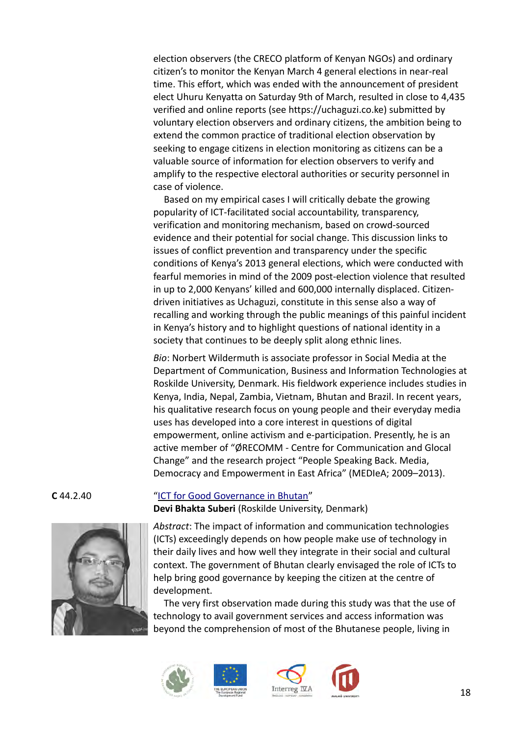election observers (the CRECO platform of Kenyan NGOs) and ordinary citizen's to monitor the Kenyan March 4 general elections in near-real time. This effort, which was ended with the announcement of president elect Uhuru Kenyatta on Saturday 9th of March, resulted in close to 4,435 verified and online reports (see https://uchaguzi.co.ke) submitted by voluntary election observers and ordinary citizens, the ambition being to extend the common practice of traditional election observation by seeking to engage citizens in election monitoring as citizens can be a valuable source of information for election observers to verify and amplify to the respective electoral authorities or security personnel in case of violence.

Based on my empirical cases I will critically debate the growing popularity of ICT-facilitated social accountability, transparency, verification and monitoring mechanism, based on crowd-sourced evidence and their potential for social change. This discussion links to issues of conflict prevention and transparency under the specific conditions of Kenya's 2013 general elections, which were conducted with fearful memories in mind of the 2009 post-election violence that resulted in up to 2,000 Kenyans' killed and 600,000 internally displaced. Citizendriven initiatives as Uchaguzi, constitute in this sense also a way of recalling and working through the public meanings of this painful incident in Kenya's history and to highlight questions of national identity in a society that continues to be deeply split along ethnic lines.

*Bio*: Norbert Wildermuth is associate professor in Social Media at the Department of Communication, Business and Information Technologies at Roskilde University, Denmark. His fieldwork experience includes studies in Kenya, India, Nepal, Zambia, Vietnam, Bhutan and Brazil. In recent years, his qualitative research focus on young people and their everyday media uses has developed into a core interest in questions of digital empowerment, online activism and e‐participation. Presently, he is an active member of "ØRECOMM - Centre for Communication and Glocal Change" and the research project "People Speaking Back. Media, Democracy and Empowerment in East Africa" (MEDIeA; 2009–2013).



### **C** 44.2.40 ["ICT for Good Governance in Bhutan"](#page-1-7)

<span id="page-17-0"></span>**Devi Bhakta Suberi** (Roskilde University, Denmark)

*Abstract*: The impact of information and communication technologies (ICTs) exceedingly depends on how people make use of technology in their daily lives and how well they integrate in their social and cultural context. The government of Bhutan clearly envisaged the role of ICTs to help bring good governance by keeping the citizen at the centre of development.

The very first observation made during this study was that the use of technology to avail government services and access information was beyond the comprehension of most of the Bhutanese people, living in







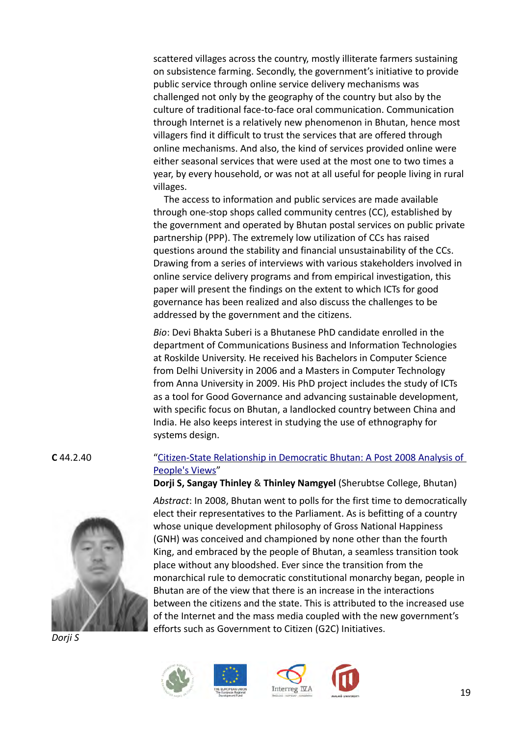scattered villages across the country, mostly illiterate farmers sustaining on subsistence farming. Secondly, the government's initiative to provide public service through online service delivery mechanisms was challenged not only by the geography of the country but also by the culture of traditional face-to-face oral communication. Communication through Internet is a relatively new phenomenon in Bhutan, hence most villagers find it difficult to trust the services that are offered through online mechanisms. And also, the kind of services provided online were either seasonal services that were used at the most one to two times a year, by every household, or was not at all useful for people living in rural villages.

The access to information and public services are made available through one-stop shops called community centres (CC), established by the government and operated by Bhutan postal services on public private partnership (PPP). The extremely low utilization of CCs has raised questions around the stability and financial unsustainability of the CCs. Drawing from a series of interviews with various stakeholders involved in online service delivery programs and from empirical investigation, this paper will present the findings on the extent to which ICTs for good governance has been realized and also discuss the challenges to be addressed by the government and the citizens.

*Bio*: Devi Bhakta Suberi is a Bhutanese PhD candidate enrolled in the department of Communications Business and Information Technologies at Roskilde University. He received his Bachelors in Computer Science from Delhi University in 2006 and a Masters in Computer Technology from Anna University in 2009. His PhD project includes the study of ICTs as a tool for Good Governance and advancing sustainable development, with specific focus on Bhutan, a landlocked country between China and India. He also keeps interest in studying the use of ethnography for systems design.

# **C** 44.2.40 ["Citizen-State Relationship in Democratic Bhutan: A Post 2008 Analysis of](#page-1-8)  [People's Views"](#page-1-8)

<span id="page-18-0"></span>



*Dorji S*

*Abstract*: In 2008, Bhutan went to polls for the first time to democratically elect their representatives to the Parliament. As is befitting of a country whose unique development philosophy of Gross National Happiness (GNH) was conceived and championed by none other than the fourth King, and embraced by the people of Bhutan, a seamless transition took place without any bloodshed. Ever since the transition from the monarchical rule to democratic constitutional monarchy began, people in Bhutan are of the view that there is an increase in the interactions between the citizens and the state. This is attributed to the increased use of the Internet and the mass media coupled with the new government's efforts such as Government to Citizen (G2C) Initiatives.





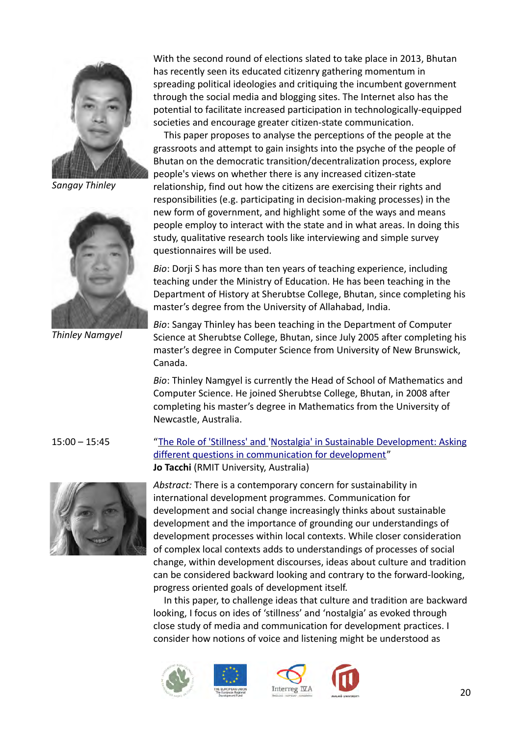

*Sangay Thinley*



*Thinley Namgyel*

With the second round of elections slated to take place in 2013, Bhutan has recently seen its educated citizenry gathering momentum in spreading political ideologies and critiquing the incumbent government through the social media and blogging sites. The Internet also has the potential to facilitate increased participation in technologically-equipped societies and encourage greater citizen-state communication.

This paper proposes to analyse the perceptions of the people at the grassroots and attempt to gain insights into the psyche of the people of Bhutan on the democratic transition/decentralization process, explore people's views on whether there is any increased citizen-state relationship, find out how the citizens are exercising their rights and responsibilities (e.g. participating in decision-making processes) in the new form of government, and highlight some of the ways and means people employ to interact with the state and in what areas. In doing this study, qualitative research tools like interviewing and simple survey questionnaires will be used.

*Bio*: Dorji S has more than ten years of teaching experience, including teaching under the Ministry of Education. He has been teaching in the Department of History at Sherubtse College, Bhutan, since completing his master's degree from the University of Allahabad, India.

*Bio*: Sangay Thinley has been teaching in the Department of Computer Science at Sherubtse College, Bhutan, since July 2005 after completing his master's degree in Computer Science from University of New Brunswick, Canada.

*Bio*: Thinley Namgyel is currently the Head of School of Mathematics and Computer Science. He joined Sherubtse College, Bhutan, in 2008 after completing his master's degree in Mathematics from the University of Newcastle, Australia.

## 15:00 – 15:45 "The Role of 'Stillness' and 'Nostalgia' in Sustainable Development: Asking

<span id="page-19-0"></span>



*Abstract:* There is a contemporary concern for sustainability in international development programmes. Communication for development and social change increasingly thinks about sustainable development and the importance of grounding our understandings of development processes within local contexts. While closer consideration of complex local contexts adds to understandings of processes of social change, within development discourses, ideas about culture and tradition can be considered backward looking and contrary to the forward-looking, progress oriented goals of development itself.

In this paper, to challenge ideas that culture and tradition are backward looking, I focus on ides of 'stillness' and 'nostalgia' as evoked through close study of media and communication for development practices. I consider how notions of voice and listening might be understood as





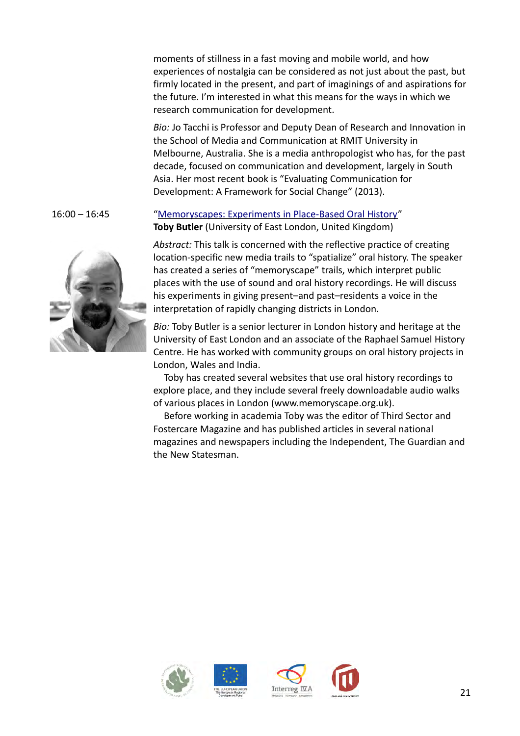moments of stillness in a fast moving and mobile world, and how experiences of nostalgia can be considered as not just about the past, but firmly located in the present, and part of imaginings of and aspirations for the future. I'm interested in what this means for the ways in which we research communication for development.

*Bio:* Jo Tacchi is Professor and Deputy Dean of Research and Innovation in the School of Media and Communication at RMIT University in Melbourne, Australia. She is a media anthropologist who has, for the past decade, focused on communication and development, largely in South Asia. Her most recent book is "Evaluating Communication for Development: A Framework for Social Change" (2013).

# 16:00 – 16:45 ["Memoryscapes: Experiments in Place-Based Oral History"](#page-1-10) **Toby Butler** (University of East London, United Kingdom)

<span id="page-20-0"></span>*Abstract:* This talk is concerned with the reflective practice of creating location-specific new media trails to "spatialize" oral history. The speaker has created a series of "memoryscape" trails, which interpret public places with the use of sound and oral history recordings. He will discuss his experiments in giving present–and past–residents a voice in the interpretation of rapidly changing districts in London.

*Bio:* Toby Butler is a senior lecturer in London history and heritage at the University of East London and an associate of the Raphael Samuel History Centre. He has worked with community groups on oral history projects in London, Wales and India.

Toby has created several websites that use oral history recordings to explore place, and they include several freely downloadable audio walks of various places in London (www.memoryscape.org.uk).

Before working in academia Toby was the editor of Third Sector and Fostercare Magazine and has published articles in several national magazines and newspapers including the Independent, The Guardian and the New Statesman.











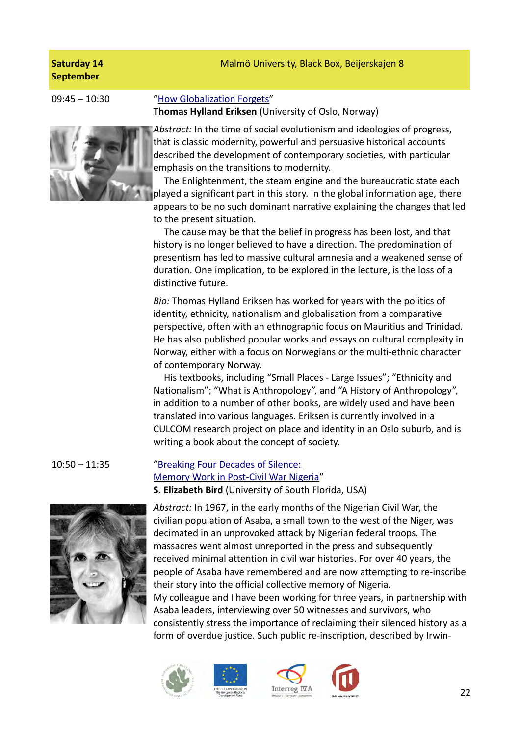# Malmö University, Black Box, Beijerskajen 8

# **Saturday 14 September**



### 09:45 – 10:30 "How Globalization Forgets"

<span id="page-21-1"></span>**Thomas Hylland Eriksen** (University of Oslo, Norway)

*Abstract:* In the time of social evolutionism and ideologies of progress, that is classic modernity, powerful and persuasive historical accounts described the development of contemporary societies, with particular emphasis on the transitions to modernity.

The Enlightenment, the steam engine and the bureaucratic state each played a significant part in this story. In the global information age, there appears to be no such dominant narrative explaining the changes that led to the present situation.

The cause may be that the belief in progress has been lost, and that history is no longer believed to have a direction. The predomination of presentism has led to massive cultural amnesia and a weakened sense of duration. One implication, to be explored in the lecture, is the loss of a distinctive future.

*Bio:* Thomas Hylland Eriksen has worked for years with the politics of identity, ethnicity, nationalism and globalisation from a comparative perspective, often with an ethnographic focus on Mauritius and Trinidad. He has also published popular works and essays on cultural complexity in Norway, either with a focus on Norwegians or the multi-ethnic character of contemporary Norway.

His textbooks, including "Small Places - Large Issues"; "Ethnicity and Nationalism"; "What is Anthropology", and "A History of Anthropology", in addition to a number of other books, are widely used and have been translated into various languages. Eriksen is currently involved in a CULCOM research project on place and identity in an Oslo suburb, and is writing a book about the concept of society.

# 10:50 – 11:35 ["Breaking Four Decades of Silence:](#page-3-0)  [Memory Work in Post-Civil War Nigeria"](#page-3-0) **S. Elizabeth Bird** (University of South Florida, USA)



<span id="page-21-0"></span>*Abstract:* In 1967, in the early months of the Nigerian Civil War, the civilian population of Asaba, a small town to the west of the Niger, was decimated in an unprovoked attack by Nigerian federal troops. The massacres went almost unreported in the press and subsequently received minimal attention in civil war histories. For over 40 years, the people of Asaba have remembered and are now attempting to re-inscribe their story into the official collective memory of Nigeria. My colleague and I have been working for three years, in partnership with Asaba leaders, interviewing over 50 witnesses and survivors, who consistently stress the importance of reclaiming their silenced history as a form of overdue justice. Such public re-inscription, described by Irwin-









22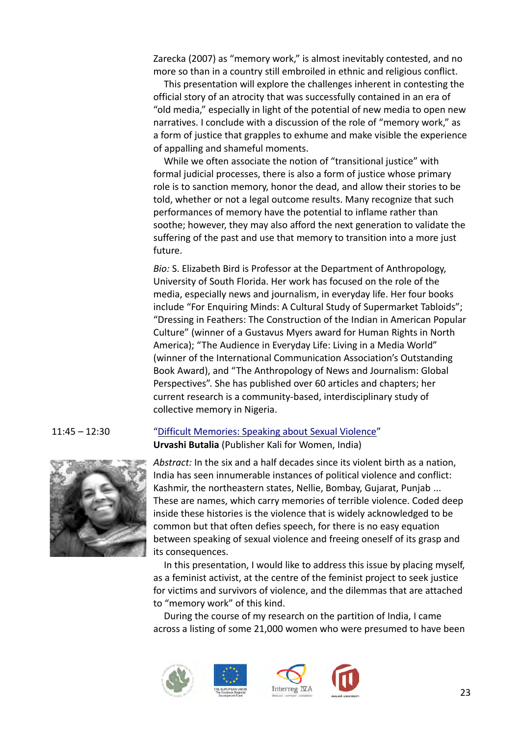Zarecka (2007) as "memory work," is almost inevitably contested, and no more so than in a country still embroiled in ethnic and religious conflict.

This presentation will explore the challenges inherent in contesting the official story of an atrocity that was successfully contained in an era of "old media," especially in light of the potential of new media to open new narratives. I conclude with a discussion of the role of "memory work," as a form of justice that grapples to exhume and make visible the experience of appalling and shameful moments.

While we often associate the notion of "transitional justice" with formal judicial processes, there is also a form of justice whose primary role is to sanction memory, honor the dead, and allow their stories to be told, whether or not a legal outcome results. Many recognize that such performances of memory have the potential to inflame rather than soothe; however, they may also afford the next generation to validate the suffering of the past and use that memory to transition into a more just future.

*Bio:* S. Elizabeth Bird is Professor at the Department of Anthropology, University of South Florida. Her work has focused on the role of the media, especially news and journalism, in everyday life. Her four books include "For Enquiring Minds: A Cultural Study of Supermarket Tabloids"; "Dressing in Feathers: The Construction of the Indian in American Popular Culture" (winner of a Gustavus Myers award for Human Rights in North America); "The Audience in Everyday Life: Living in a Media World" (winner of the International Communication Association's Outstanding Book Award), and "The Anthropology of News and Journalism: Global Perspectives". She has published over 60 articles and chapters; her current research is a community-based, interdisciplinary study of collective memory in Nigeria.



# 11:45 – 12:30 ["Difficult Memories: Speaking about Sexual Violence"](#page-3-2) **Urvashi Butalia** (Publisher Kali for Women, India)

<span id="page-22-0"></span>*Abstract:* In the six and a half decades since its violent birth as a nation, India has seen innumerable instances of political violence and conflict: Kashmir, the northeastern states, Nellie, Bombay, Gujarat, Punjab ... These are names, which carry memories of terrible violence. Coded deep inside these histories is the violence that is widely acknowledged to be common but that often defies speech, for there is no easy equation between speaking of sexual violence and freeing oneself of its grasp and its consequences.

In this presentation, I would like to address this issue by placing myself, as a feminist activist, at the centre of the feminist project to seek justice for victims and survivors of violence, and the dilemmas that are attached to "memory work" of this kind.

During the course of my research on the partition of India, I came across a listing of some 21,000 women who were presumed to have been





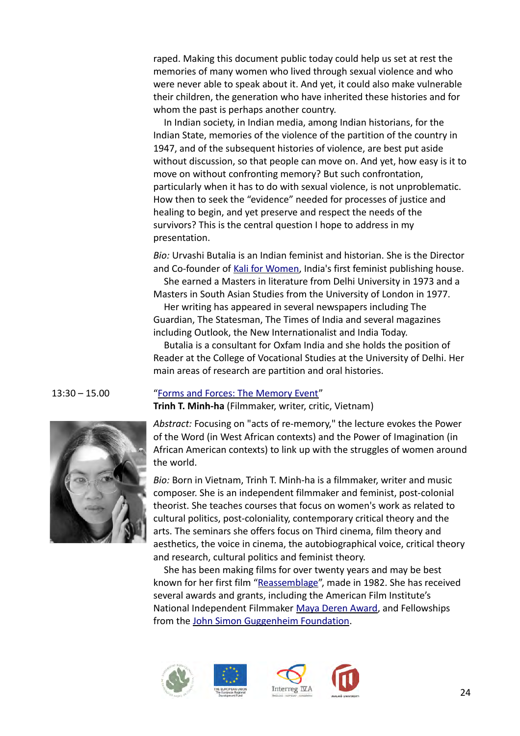raped. Making this document public today could help us set at rest the memories of many women who lived through sexual violence and who were never able to speak about it. And yet, it could also make vulnerable their children, the generation who have inherited these histories and for whom the past is perhaps another country.

In Indian society, in Indian media, among Indian historians, for the Indian State, memories of the violence of the partition of the country in 1947, and of the subsequent histories of violence, are best put aside without discussion, so that people can move on. And yet, how easy is it to move on without confronting memory? But such confrontation, particularly when it has to do with sexual violence, is not unproblematic. How then to seek the "evidence" needed for processes of justice and healing to begin, and yet preserve and respect the needs of the survivors? This is the central question I hope to address in my presentation.

*Bio:* Urvashi Butalia is an Indian feminist and historian. She is the Director and Co-founder of [Kali for Women,](http://en.wikipedia.org/wiki/Kali_for_Women) India's first feminist publishing house.

She earned a Masters in literature from Delhi University in 1973 and a Masters in South Asian Studies from the University of London in 1977.

Her writing has appeared in several newspapers including The Guardian, The Statesman, The Times of India and several magazines including Outlook, the New Internationalist and India Today.

Butalia is a consultant for Oxfam India and she holds the position of Reader at the College of Vocational Studies at the University of Delhi. Her main areas of research are partition and oral histories.



### 13:30 – 15.00 ["Forms and Forces: The Memory Event"](#page-3-3) **Trinh T. Minh-ha** (Filmmaker, writer, critic, Vietnam)

<span id="page-23-0"></span>*Abstract:* Focusing on "acts of re-memory," the lecture evokes the Power of the Word (in West African contexts) and the Power of Imagination (in African American contexts) to link up with the struggles of women around the world.

*Bio:* Born in Vietnam, Trinh T. Minh-ha is a filmmaker, writer and music composer. She is an independent filmmaker and feminist, post-colonial theorist. She teaches courses that focus on women's work as related to cultural politics, post-coloniality, contemporary critical theory and the arts. The seminars she offers focus on Third cinema, film theory and aesthetics, the voice in cinema, the autobiographical voice, critical theory and research, cultural politics and feminist theory.

She has been making films for over twenty years and may be best known for her first film ["Reassemblage"](http://www.wmm.com/filmcatalog/pages/c52.shtml), made in 1982. She has received several awards and grants, including the American Film Institute's National Independent Filmmaker [Maya Deren Award,](http://en.wikipedia.org/wiki/Maya_Deren_Award) and Fellowships from the [John Simon Guggenheim Foundation.](http://en.wikipedia.org/wiki/John_Simon_Guggenheim_Foundation)







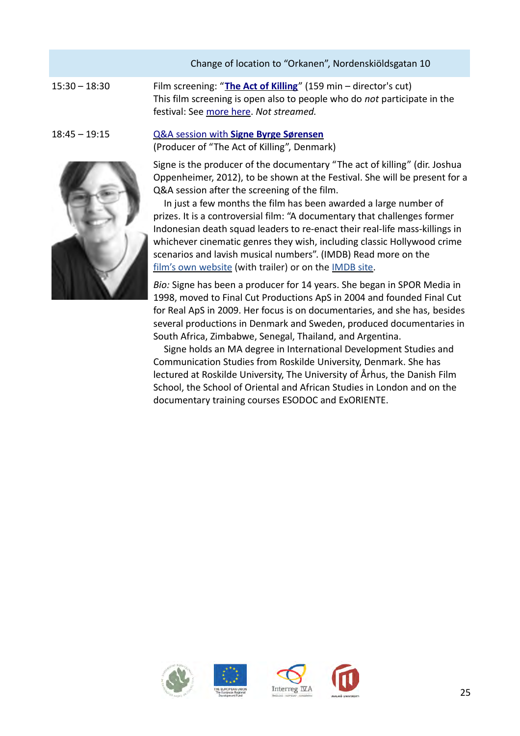|                 | Change of location to "Orkanen", Nordenskiöldsgatan 10                                                                                                                                |
|-----------------|---------------------------------------------------------------------------------------------------------------------------------------------------------------------------------------|
| $15:30 - 18:30$ | Film screening: "The Act of Killing" (159 min – director's cut)<br>This film screening is open also to people who do not participate in the<br>festival: See more here. Not streamed. |
| $18:45 - 19:15$ | Q&A session with Signe Byrge Sørensen<br>(Producer of "The Act of Killing", Denmark)                                                                                                  |
|                 | Signe is the producer of the documentary "The act of killing" (dir. Joshua<br>Oppenheimer, 2012), to be shown at the Festival. She will be present for a                              |

<span id="page-24-0"></span>Q&A session after the screening of the film. In just a few months the film has been awarded a large number of prizes. It is a controversial film: "A documentary that challenges former Indonesian death squad leaders to re-enact their real-life mass-killings in whichever cinematic genres they wish, including classic Hollywood crime scenarios and lavish musical numbers". (IMDB) Read more on the

film's own website (with trailer) or on the [IMDB site.](http://www.imdb.com/title/tt2375605/?ref_=sr_1) *Bio:* Signe has been a producer for 14 years. She began in SPOR Media in

1998, moved to Final Cut Productions ApS in 2004 and founded Final Cut for Real ApS in 2009. Her focus is on documentaries, and she has, besides several productions in Denmark and Sweden, produced documentaries in South Africa, Zimbabwe, Senegal, Thailand, and Argentina.

Signe holds an MA degree in International Development Studies and Communication Studies from Roskilde University, Denmark. She has lectured at Roskilde University, The University of Århus, the Danish Film School, the School of Oriental and African Studies in London and on the documentary training courses ESODOC and ExORIENTE.









25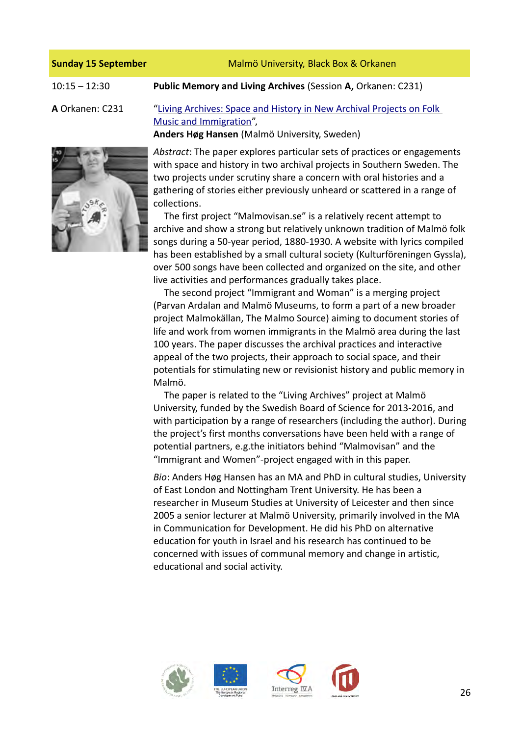| <b>Sunday 15 September</b> | Malmö University, Black Box & Orkanen                                                                                                                                                                                                                                                                                                                                                            |
|----------------------------|--------------------------------------------------------------------------------------------------------------------------------------------------------------------------------------------------------------------------------------------------------------------------------------------------------------------------------------------------------------------------------------------------|
| $10:15 - 12:30$            | Public Memory and Living Archives (Session A, Orkanen: C231)                                                                                                                                                                                                                                                                                                                                     |
| A Orkanen: C231            | "Living Archives: Space and History in New Archival Projects on Folk<br>Music and Immigration",<br>Anders Høg Hansen (Malmö University, Sweden)                                                                                                                                                                                                                                                  |
|                            | Abstract: The paper explores particular sets of practices or engagements<br>with space and history in two archival projects in Southern Sweden. The<br>two projects under scrutiny share a concern with oral histories and a<br>gathering of stories either previously unheard or scattered in a range of<br>collections.<br>The first project "Malmovisan.se" is a relatively recent attempt to |

<span id="page-25-0"></span>archive and show a strong but relatively unknown tradition of Malmö folk songs during a 50-year period, 1880-1930. A website with lyrics compiled has been established by a small cultural society (Kulturföreningen Gyssla), over 500 songs have been collected and organized on the site, and other live activities and performances gradually takes place.

The second project "Immigrant and Woman" is a merging project (Parvan Ardalan and Malmö Museums, to form a part of a new broader project Malmokällan, The Malmo Source) aiming to document stories of life and work from women immigrants in the Malmö area during the last 100 years. The paper discusses the archival practices and interactive appeal of the two projects, their approach to social space, and their potentials for stimulating new or revisionist history and public memory in Malmö.

The paper is related to the "Living Archives" project at Malmö University, funded by the Swedish Board of Science for 2013-2016, and with participation by a range of researchers (including the author). During the project's first months conversations have been held with a range of potential partners, e.g.the initiators behind "Malmovisan" and the "Immigrant and Women"-project engaged with in this paper.

*Bio*: Anders Høg Hansen has an MA and PhD in cultural studies, University of East London and Nottingham Trent University. He has been a researcher in Museum Studies at University of Leicester and then since 2005 a senior lecturer at Malmö University, primarily involved in the MA in Communication for Development. He did his PhD on alternative education for youth in Israel and his research has continued to be concerned with issues of communal memory and change in artistic, educational and social activity.





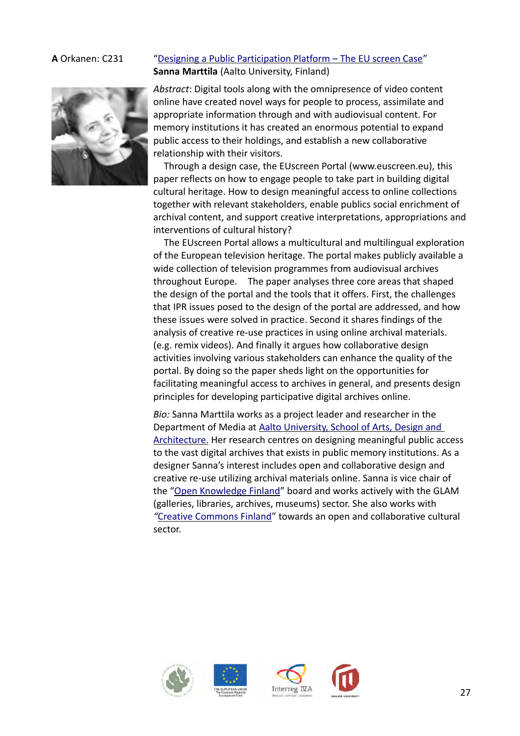# **A** Orkanen: C231 ["Designing a Public Participation Platform – The EU screen Case"](#page-4-1) **Sanna Marttila** (Aalto University, Finland)



<span id="page-26-0"></span>*Abstract*: Digital tools along with the omnipresence of video content online have created novel ways for people to process, assimilate and appropriate information through and with audiovisual content. For memory institutions it has created an enormous potential to expand public access to their holdings, and establish a new collaborative relationship with their visitors.

Through a design case, the EUscreen Portal (www.euscreen.eu), this paper reflects on how to engage people to take part in building digital cultural heritage. How to design meaningful access to online collections together with relevant stakeholders, enable publics social enrichment of archival content, and support creative interpretations, appropriations and interventions of cultural history?

The EUscreen Portal allows a multicultural and multilingual exploration of the European television heritage. The portal makes publicly available a wide collection of television programmes from audiovisual archives throughout Europe. The paper analyses three core areas that shaped the design of the portal and the tools that it offers. First, the challenges that IPR issues posed to the design of the portal are addressed, and how these issues were solved in practice. Second it shares findings of the analysis of creative re-use practices in using online archival materials. (e.g. remix videos). And finally it argues how collaborative design activities involving various stakeholders can enhance the quality of the portal. By doing so the paper sheds light on the opportunities for facilitating meaningful access to archives in general, and presents design principles for developing participative digital archives online.

*Bio:* Sanna Marttila works as a project leader and researcher in the Department of Media at [Aalto University, School of Arts, Design and](http://arts.aalto.fi/en/)  [Architecture.](http://arts.aalto.fi/en/) Her research centres on designing meaningful public access to the vast digital archives that exists in public memory institutions. As a designer Sanna's interest includes open and collaborative design and creative re-use utilizing archival materials online. Sanna is vice chair of the ["Open Knowledge Finland"](http://fi.okfn.org/) board and works actively with the GLAM (galleries, libraries, archives, museums) sector. She also works with *"*[Creative Commons Finland"](http://www.creativecommons.fi/) towards an open and collaborative cultural sector.





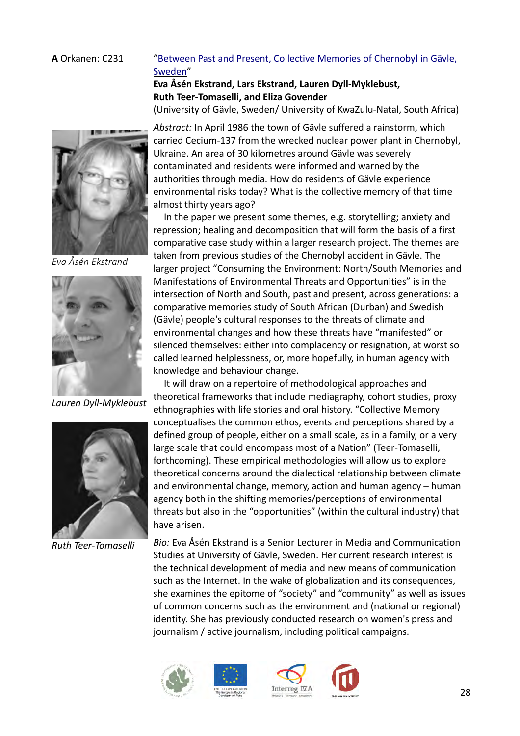# A Orkanen: C231 "Between Past and Present, Collective Memories of Chernobyl in Gävle, [Sweden"](#page-4-2)

# <span id="page-27-0"></span>**Eva Åsén Ekstrand, Lars Ekstrand, Lauren Dyll-Myklebust, Ruth Teer-Tomaselli, and Eliza Govender**

(University of Gävle, Sweden/ University of KwaZulu-Natal, South Africa)



*Eva Åsén Ekstrand*



*Lauren Dyll-Myklebust*



*Ruth Teer-Tomaselli*

*Abstract:* In April 1986 the town of Gävle suffered a rainstorm, which carried Cecium-137 from the wrecked nuclear power plant in Chernobyl, Ukraine. An area of 30 kilometres around Gävle was severely contaminated and residents were informed and warned by the authorities through media. How do residents of Gävle experience environmental risks today? What is the collective memory of that time almost thirty years ago?

In the paper we present some themes, e.g. storytelling; anxiety and repression; healing and decomposition that will form the basis of a first comparative case study within a larger research project. The themes are taken from previous studies of the Chernobyl accident in Gävle. The larger project "Consuming the Environment: North/South Memories and Manifestations of Environmental Threats and Opportunities" is in the intersection of North and South, past and present, across generations: a comparative memories study of South African (Durban) and Swedish (Gävle) people's cultural responses to the threats of climate and environmental changes and how these threats have "manifested" or silenced themselves: either into complacency or resignation, at worst so called learned helplessness, or, more hopefully, in human agency with knowledge and behaviour change.

It will draw on a repertoire of methodological approaches and theoretical frameworks that include mediagraphy, cohort studies, proxy ethnographies with life stories and oral history. "Collective Memory conceptualises the common ethos, events and perceptions shared by a defined group of people, either on a small scale, as in a family, or a very large scale that could encompass most of a Nation" (Teer-Tomaselli, forthcoming). These empirical methodologies will allow us to explore theoretical concerns around the dialectical relationship between climate and environmental change, memory, action and human agency – human agency both in the shifting memories/perceptions of environmental threats but also in the "opportunities" (within the cultural industry) that have arisen.

*Bio:* Eva Åsén Ekstrand is a Senior Lecturer in Media and Communication Studies at University of Gävle, Sweden. Her current research interest is the technical development of media and new means of communication such as the Internet. In the wake of globalization and its consequences, she examines the epitome of "society" and "community" as well as issues of common concerns such as the environment and (national or regional) identity. She has previously conducted research on women's press and journalism / active journalism, including political campaigns.





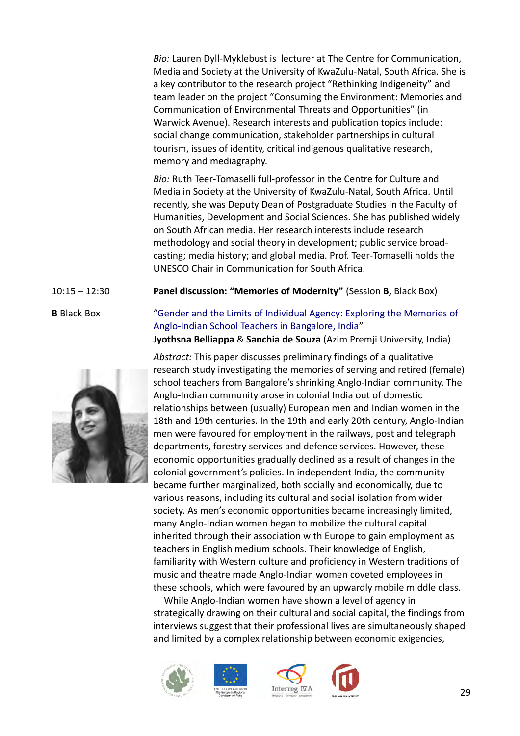*Bio:* Lauren Dyll-Myklebust is lecturer at The Centre for Communication, Media and Society at the University of KwaZulu-Natal, South Africa. She is a key contributor to the research project "Rethinking Indigeneity" and team leader on the project "Consuming the Environment: Memories and Communication of Environmental Threats and Opportunities" (in Warwick Avenue). Research interests and publication topics include: social change communication, stakeholder partnerships in cultural tourism, issues of identity, critical indigenous qualitative research, memory and mediagraphy.

*Bio:* Ruth Teer-Tomaselli full-professor in the Centre for Culture and Media in Society at the University of KwaZulu-Natal, South Africa. Until recently, she was Deputy Dean of Postgraduate Studies in the Faculty of Humanities, Development and Social Sciences. She has published widely on South African media. Her research interests include research methodology and social theory in development; public service broadcasting; media history; and global media. Prof. Teer-Tomaselli holds the UNESCO Chair in Communication for South Africa.

10:15 – 12:30 **Panel discussion: "Memories of Modernity"** (Session **B,** Black Box)

# **B** Black Box ["Gender and the Limits of Individual Agency: Exploring the Memories of](#page-4-3)  [Anglo-Indian School Teachers in Bangalore, India"](#page-4-3)

<span id="page-28-0"></span>**Jyothsna Belliappa** & **Sanchia de Souza** (Azim Premji University, India)

*Abstract:* This paper discusses preliminary findings of a qualitative research study investigating the memories of serving and retired (female) school teachers from Bangalore's shrinking Anglo-Indian community. The Anglo-Indian community arose in colonial India out of domestic relationships between (usually) European men and Indian women in the 18th and 19th centuries. In the 19th and early 20th century, Anglo-Indian men were favoured for employment in the railways, post and telegraph departments, forestry services and defence services. However, these economic opportunities gradually declined as a result of changes in the colonial government's policies. In independent India, the community became further marginalized, both socially and economically, due to various reasons, including its cultural and social isolation from wider society. As men's economic opportunities became increasingly limited, many Anglo-Indian women began to mobilize the cultural capital inherited through their association with Europe to gain employment as teachers in English medium schools. Their knowledge of English, familiarity with Western culture and proficiency in Western traditions of music and theatre made Anglo-Indian women coveted employees in these schools, which were favoured by an upwardly mobile middle class.

While Anglo-Indian women have shown a level of agency in strategically drawing on their cultural and social capital, the findings from interviews suggest that their professional lives are simultaneously shaped and limited by a complex relationship between economic exigencies,









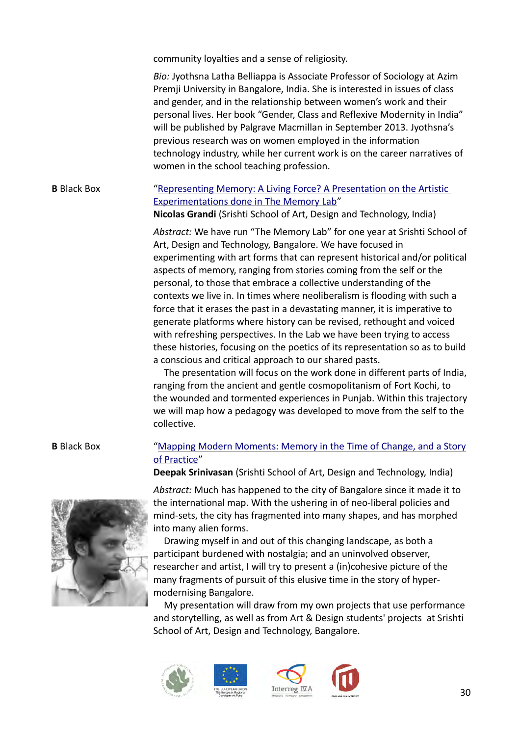community loyalties and a sense of religiosity.

*Bio:* Jyothsna Latha Belliappa is Associate Professor of Sociology at Azim Premji University in Bangalore, India. She is interested in issues of class and gender, and in the relationship between women's work and their personal lives. Her book "Gender, Class and Reflexive Modernity in India" will be published by Palgrave Macmillan in September 2013. Jyothsna's previous research was on women employed in the information technology industry, while her current work is on the career narratives of women in the school teaching profession.

# **B** Black Box ["Representing Memory: A Living Force? A Presentation on the Artistic](#page-4-5)  [Experimentations done in The Memory Lab"](#page-4-5)

<span id="page-29-1"></span>**Nicolas Grandi** (Srishti School of Art, Design and Technology, India)

*Abstract:* We have run "The Memory Lab" for one year at Srishti School of Art, Design and Technology, Bangalore. We have focused in experimenting with art forms that can represent historical and/or political aspects of memory, ranging from stories coming from the self or the personal, to those that embrace a collective understanding of the contexts we live in. In times where neoliberalism is flooding with such a force that it erases the past in a devastating manner, it is imperative to generate platforms where history can be revised, rethought and voiced with refreshing perspectives. In the Lab we have been trying to access these histories, focusing on the poetics of its representation so as to build a conscious and critical approach to our shared pasts.

The presentation will focus on the work done in different parts of India, ranging from the ancient and gentle cosmopolitanism of Fort Kochi, to the wounded and tormented experiences in Punjab. Within this trajectory we will map how a pedagogy was developed to move from the self to the collective.

# **B** Black Box ["Mapping Modern Moments: Memory in the Time of Change, and a Story](#page-4-4) [of Practice"](#page-4-4)

<span id="page-29-0"></span>**Deepak Srinivasan** (Srishti School of Art, Design and Technology, India)

*Abstract:* Much has happened to the city of Bangalore since it made it to the international map. With the ushering in of neo-liberal policies and mind-sets, the city has fragmented into many shapes, and has morphed into many alien forms.

Drawing myself in and out of this changing landscape, as both a participant burdened with nostalgia; and an uninvolved observer, researcher and artist, I will try to present a (in)cohesive picture of the many fragments of pursuit of this elusive time in the story of hypermodernising Bangalore.

My presentation will draw from my own projects that use performance and storytelling, as well as from Art & Design students' projects at Srishti School of Art, Design and Technology, Bangalore.





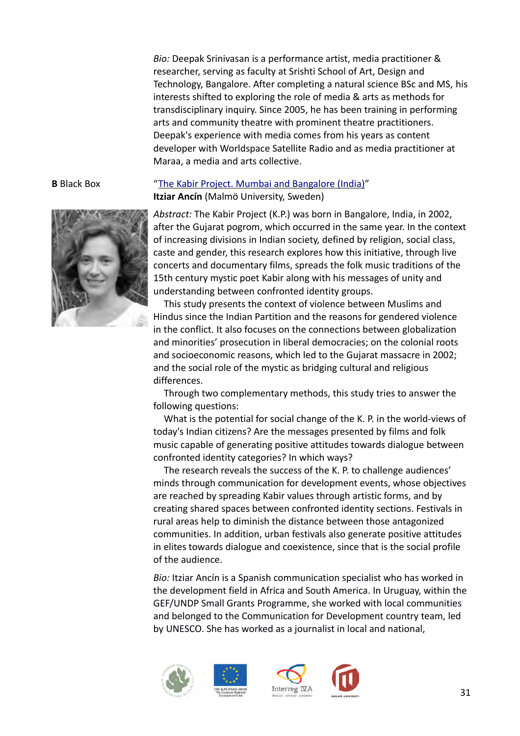*Bio:* Deepak Srinivasan is a performance artist, media practitioner & researcher, serving as faculty at Srishti School of Art, Design and Technology, Bangalore. After completing a natural science BSc and MS, his interests shifted to exploring the role of media & arts as methods for transdisciplinary inquiry. Since 2005, he has been training in performing arts and community theatre with prominent theatre practitioners. Deepak's experience with media comes from his years as content developer with Worldspace Satellite Radio and as media practitioner at Maraa, a media and arts collective.



# **B** Black Box ["The Kabir Project. Mumbai and Bangalore \(India\)"](#page-4-6) **Itziar Ancín** (Malmö University, Sweden)

<span id="page-30-0"></span>*Abstract:* The Kabir Project (K.P.) was born in Bangalore, India, in 2002, after the Gujarat pogrom, which occurred in the same year. In the context of increasing divisions in Indian society, defined by religion, social class, caste and gender, this research explores how this initiative, through live concerts and documentary films, spreads the folk music traditions of the 15th century mystic poet Kabir along with his messages of unity and understanding between confronted identity groups.

This study presents the context of violence between Muslims and Hindus since the Indian Partition and the reasons for gendered violence in the conflict. It also focuses on the connections between globalization and minorities' prosecution in liberal democracies; on the colonial roots and socioeconomic reasons, which led to the Gujarat massacre in 2002; and the social role of the mystic as bridging cultural and religious differences.

Through two complementary methods, this study tries to answer the following questions:

What is the potential for social change of the K. P. in the world-views of today's Indian citizens? Are the messages presented by films and folk music capable of generating positive attitudes towards dialogue between confronted identity categories? In which ways?

The research reveals the success of the K. P. to challenge audiences' minds through communication for development events, whose objectives are reached by spreading Kabir values through artistic forms, and by creating shared spaces between confronted identity sections. Festivals in rural areas help to diminish the distance between those antagonized communities. In addition, urban festivals also generate positive attitudes in elites towards dialogue and coexistence, since that is the social profile of the audience.

*Bio:* Itziar Ancín is a Spanish communication specialist who has worked in the development field in Africa and South America. In Uruguay, within the GEF/UNDP Small Grants Programme, she worked with local communities and belonged to the Communication for Development country team, led by UNESCO. She has worked as a journalist in local and national,





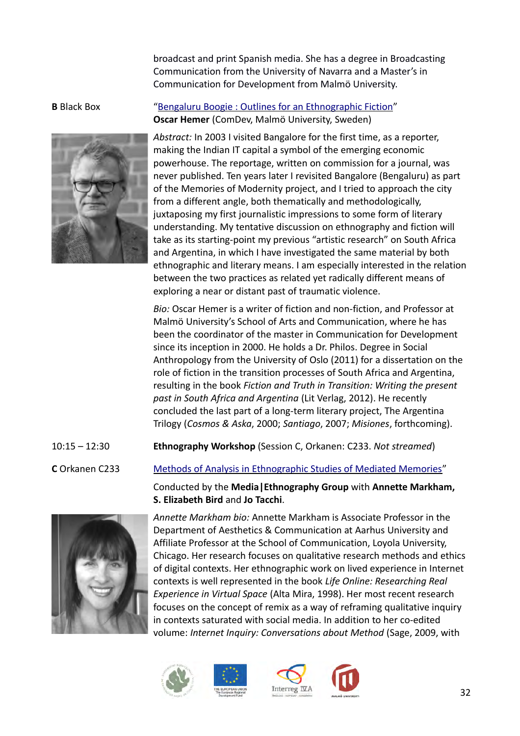broadcast and print Spanish media. She has a degree in Broadcasting Communication from the University of Navarra and a Master's in Communication for Development from Malmö University.



# **B** Black Box "Bengaluru Boogie : Outlines for an Ethnographic Fiction" **Oscar Hemer** (ComDev, Malmö University, Sweden)

<span id="page-31-0"></span>*Abstract:* In 2003 I visited Bangalore for the first time, as a reporter, making the Indian IT capital a symbol of the emerging economic powerhouse. The reportage, written on commission for a journal, was never published. Ten years later I revisited Bangalore (Bengaluru) as part of the Memories of Modernity project, and I tried to approach the city from a different angle, both thematically and methodologically, juxtaposing my first journalistic impressions to some form of literary understanding. My tentative discussion on ethnography and fiction will take as its starting-point my previous "artistic research" on South Africa and Argentina, in which I have investigated the same material by both ethnographic and literary means. I am especially interested in the relation between the two practices as related yet radically different means of exploring a near or distant past of traumatic violence.

*Bio:* Oscar Hemer is a writer of fiction and non-fiction, and Professor at Malmö University's School of Arts and Communication, where he has been the coordinator of the master in Communication for Development since its inception in 2000. He holds a Dr. Philos. Degree in Social Anthropology from the University of Oslo (2011) for a dissertation on the role of fiction in the transition processes of South Africa and Argentina, resulting in the book *Fiction and Truth in Transition: Writing the present past in South Africa and Argentina* (Lit Verlag, 2012). He recently concluded the last part of a long-term literary project, The Argentina Trilogy (*Cosmos & Aska*, 2000; *Santiago*, 2007; *Misiones*, forthcoming).

10:15 – 12:30 **Ethnography Workshop** (Session C, Orkanen: C233. *Not streamed*)

**C** Orkanen C233 [Methods of Analysis in Ethnographic Studies of Mediated Memories"](#page-5-0)

Conducted by the **Media|Ethnography Group** with **Annette Markham, S. Elizabeth Bird** and **Jo Tacchi**.



<span id="page-31-1"></span>*Annette Markham bio:* Annette Markham is Associate Professor in the Department of Aesthetics & Communication at Aarhus University and Affiliate Professor at the School of Communication, Loyola University, Chicago. Her research focuses on qualitative research methods and ethics of digital contexts. Her ethnographic work on lived experience in Internet contexts is well represented in the book *Life Online: Researching Real Experience in Virtual Space* (Alta Mira, 1998). Her most recent research focuses on the concept of remix as a way of reframing qualitative inquiry in contexts saturated with social media. In addition to her co-edited volume: *Internet Inquiry: Conversations about Method* (Sage, 2009, with







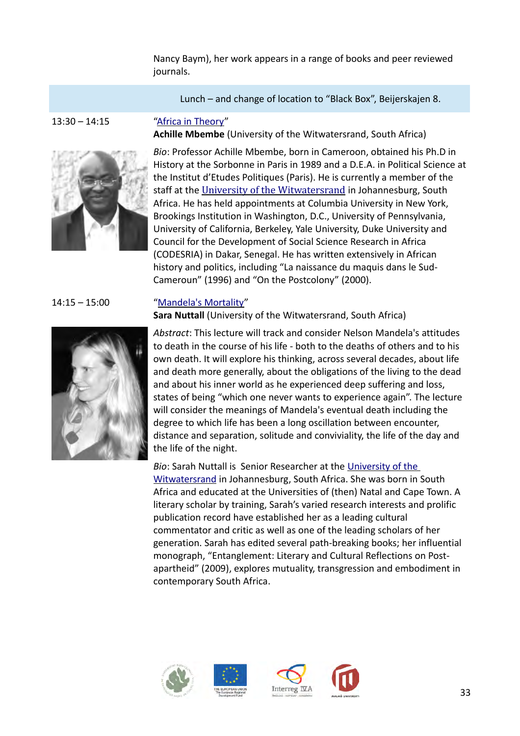Nancy Baym), her work appears in a range of books and peer reviewed journals.

Lunch – and change of location to "Black Box", Beijerskajen 8.



<span id="page-32-1"></span>**Achille Mbembe** (University of the Witwatersrand, South Africa)



*Bio*: Professor Achille Mbembe, born in Cameroon, obtained his Ph.D in History at the Sorbonne in Paris in 1989 and a D.E.A. in Political Science at the Institut d'Etudes Politiques (Paris). He is currently a member of the staff at the [University of the Witwatersrand](http://en.wikipedia.org/wiki/University_of_the_Witwatersrand) in Johannesburg, South Africa. He has held appointments at Columbia University in New York, Brookings Institution in Washington, D.C., University of Pennsylvania, University of California, Berkeley, Yale University, Duke University and Council for the Development of Social Science Research in Africa (CODESRIA) in Dakar, Senegal. He has written extensively in African history and politics, including "La naissance du maquis dans le Sud-Cameroun" (1996) and "On the Postcolony" (2000).



# 14:15 – 15:00 ["Mandela's Mortality"](#page-5-1)

<span id="page-32-0"></span>**Sara Nuttall** (University of the Witwatersrand, South Africa)

*Abstract*: This lecture will track and consider Nelson Mandela's attitudes to death in the course of his life - both to the deaths of others and to his own death. It will explore his thinking, across several decades, about life and death more generally, about the obligations of the living to the dead and about his inner world as he experienced deep suffering and loss, states of being "which one never wants to experience again". The lecture will consider the meanings of Mandela's eventual death including the degree to which life has been a long oscillation between encounter, distance and separation, solitude and conviviality, the life of the day and the life of the night.

*Bio*: Sarah Nuttall is Senior Researcher at the [University of the](http://en.wikipedia.org/wiki/University_of_the_Witwatersrand)  [Witwatersrand](http://en.wikipedia.org/wiki/University_of_the_Witwatersrand) in Johannesburg, South Africa. She was born in South Africa and educated at the Universities of (then) Natal and Cape Town. A literary scholar by training, Sarah's varied research interests and prolific publication record have established her as a leading cultural commentator and critic as well as one of the leading scholars of her generation. Sarah has edited several path-breaking books; her influential monograph, "Entanglement: Literary and Cultural Reflections on Postapartheid" (2009), explores mutuality, transgression and embodiment in contemporary South Africa.





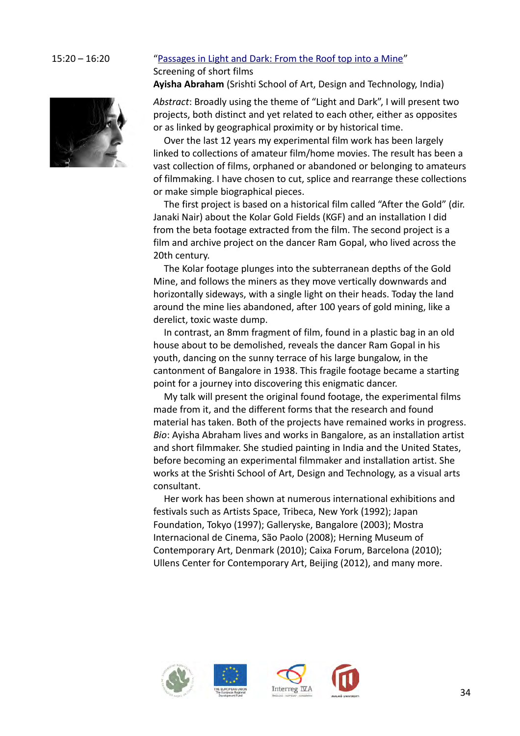# 15:20 – 16:20 ["Passages in Light and Dark: From the Roof top into a Mine"](#page-5-3) Screening of short films

<span id="page-33-0"></span>**Ayisha Abraham** (Srishti School of Art, Design and Technology, India)

*Abstract*: Broadly using the theme of "Light and Dark", I will present two projects, both distinct and yet related to each other, either as opposites or as linked by geographical proximity or by historical time.

Over the last 12 years my experimental film work has been largely linked to collections of amateur film/home movies. The result has been a vast collection of films, orphaned or abandoned or belonging to amateurs of filmmaking. I have chosen to cut, splice and rearrange these collections or make simple biographical pieces.

The first project is based on a historical film called "After the Gold" (dir. Janaki Nair) about the Kolar Gold Fields (KGF) and an installation I did from the beta footage extracted from the film. The second project is a film and archive project on the dancer Ram Gopal, who lived across the 20th century.

The Kolar footage plunges into the subterranean depths of the Gold Mine, and follows the miners as they move vertically downwards and horizontally sideways, with a single light on their heads. Today the land around the mine lies abandoned, after 100 years of gold mining, like a derelict, toxic waste dump.

In contrast, an 8mm fragment of film, found in a plastic bag in an old house about to be demolished, reveals the dancer Ram Gopal in his youth, dancing on the sunny terrace of his large bungalow, in the cantonment of Bangalore in 1938. This fragile footage became a starting point for a journey into discovering this enigmatic dancer.

My talk will present the original found footage, the experimental films made from it, and the different forms that the research and found material has taken. Both of the projects have remained works in progress. *Bio*: Ayisha Abraham lives and works in Bangalore, as an installation artist and short filmmaker. She studied painting in India and the United States, before becoming an experimental filmmaker and installation artist. She works at the Srishti School of Art, Design and Technology, as a visual arts consultant.

Her work has been shown at numerous international exhibitions and festivals such as Artists Space, Tribeca, New York (1992); Japan Foundation, Tokyo (1997); Galleryske, Bangalore (2003); Mostra Internacional de Cinema, São Paolo (2008); Herning Museum of Contemporary Art, Denmark (2010); Caixa Forum, Barcelona (2010); Ullens Center for Contemporary Art, Beijing (2012), and many more.





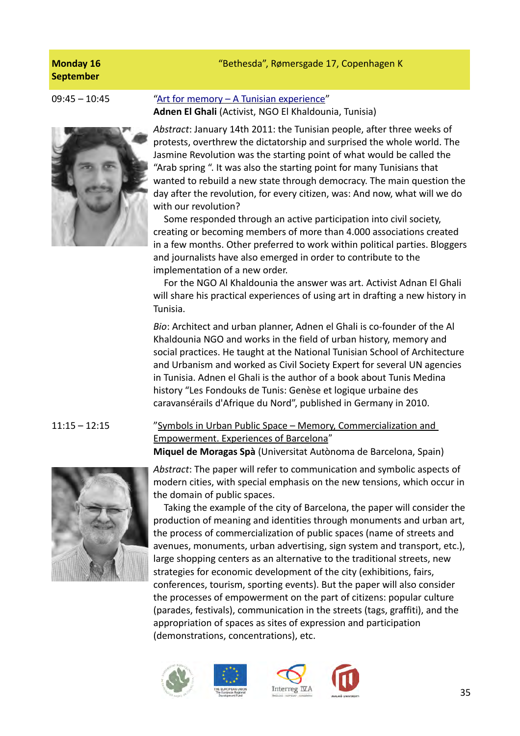# "Bethesda", Rømersgade 17, Copenhagen K

# **Monday 16 September**



# 09:45 – 10:45 ["Art for memory – A Tunisian experience"](#page-6-1) **Adnen El Ghali** (Activist, NGO El Khaldounia, Tunisia)

<span id="page-34-1"></span>*Abstract*: January 14th 2011: the Tunisian people, after three weeks of protests, overthrew the dictatorship and surprised the whole world. The Jasmine Revolution was the starting point of what would be called the "Arab spring ". It was also the starting point for many Tunisians that wanted to rebuild a new state through democracy. The main question the day after the revolution, for every citizen, was: And now, what will we do with our revolution?

Some responded through an active participation into civil society, creating or becoming members of more than 4.000 associations created in a few months. Other preferred to work within political parties. Bloggers and journalists have also emerged in order to contribute to the implementation of a new order.

For the NGO Al Khaldounia the answer was art. Activist Adnan El Ghali will share his practical experiences of using art in drafting a new history in Tunisia.

*Bio*: Architect and urban planner, Adnen el Ghali is co-founder of the Al Khaldounia NGO and works in the field of urban history, memory and social practices. He taught at the National Tunisian School of Architecture and Urbanism and worked as Civil Society Expert for several UN agencies in Tunisia. Adnen el Ghali is the author of a book about Tunis Medina history "Les Fondouks de Tunis: Genèse et logique urbaine des caravansérails d'Afrique du Nord", published in Germany in 2010.

# 11:15 – 12:15 ["Symbols in Urban Public Space – Memory, Commercialization and](#page-6-0)  [Empowerment. Experiences of Barcelona](#page-6-0)" **Miquel de Moragas Spà** (Universitat Autònoma de Barcelona, Spain)



<span id="page-34-0"></span>*Abstract*: The paper will refer to communication and symbolic aspects of modern cities, with special emphasis on the new tensions, which occur in the domain of public spaces.

Taking the example of the city of Barcelona, the paper will consider the production of meaning and identities through monuments and urban art, the process of commercialization of public spaces (name of streets and avenues, monuments, urban advertising, sign system and transport, etc.), large shopping centers as an alternative to the traditional streets, new strategies for economic development of the city (exhibitions, fairs, conferences, tourism, sporting events). But the paper will also consider the processes of empowerment on the part of citizens: popular culture (parades, festivals), communication in the streets (tags, graffiti), and the appropriation of spaces as sites of expression and participation (demonstrations, concentrations), etc.







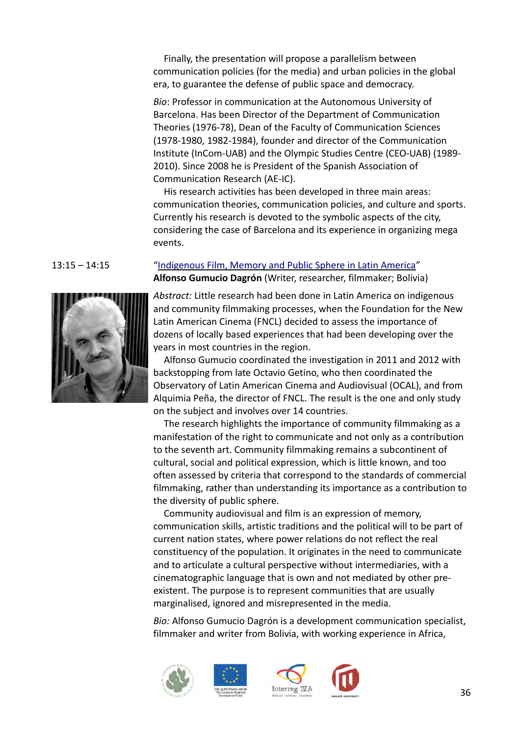Finally, the presentation will propose a parallelism between communication policies (for the media) and urban policies in the global era, to guarantee the defense of public space and democracy.

*Bio*: Professor in communication at the Autonomous University of Barcelona. Has been Director of the Department of Communication Theories (1976-78), Dean of the Faculty of Communication Sciences (1978-1980, 1982-1984), founder and director of the Communication Institute (InCom-UAB) and the Olympic Studies Centre (CEO-UAB) (1989- 2010). Since 2008 he is President of the Spanish Association of Communication Research (AE-IC).

His research activities has been developed in three main areas: communication theories, communication policies, and culture and sports. Currently his research is devoted to the symbolic aspects of the city, considering the case of Barcelona and its experience in organizing mega events.



13:15 – 14:15 ["Indigenous Film, Memory and Public Sphere in Latin America"](#page-6-2) **Alfonso Gumucio Dagrón** (Writer, researcher, filmmaker; Bolivia)

> <span id="page-35-0"></span>*Abstract:* Little research had been done in Latin America on indigenous and community filmmaking processes, when the Foundation for the New Latin American Cinema (FNCL) decided to assess the importance of dozens of locally based experiences that had been developing over the years in most countries in the region.

> Alfonso Gumucio coordinated the investigation in 2011 and 2012 with backstopping from late Octavio Getino, who then coordinated the Observatory of Latin American Cinema and Audiovisual (OCAL), and from Alquimia Peña, the director of FNCL. The result is the one and only study on the subject and involves over 14 countries.

The research highlights the importance of community filmmaking as a manifestation of the right to communicate and not only as a contribution to the seventh art. Community filmmaking remains a subcontinent of cultural, social and political expression, which is little known, and too often assessed by criteria that correspond to the standards of commercial filmmaking, rather than understanding its importance as a contribution to the diversity of public sphere.

Community audiovisual and film is an expression of memory, communication skills, artistic traditions and the political will to be part of current nation states, where power relations do not reflect the real constituency of the population. It originates in the need to communicate and to articulate a cultural perspective without intermediaries, with a cinematographic language that is own and not mediated by other preexistent. The purpose is to represent communities that are usually marginalised, ignored and misrepresented in the media.

*Bio:* Alfonso Gumucio Dagrón is a development communication specialist, filmmaker and writer from Bolivia, with working experience in Africa,







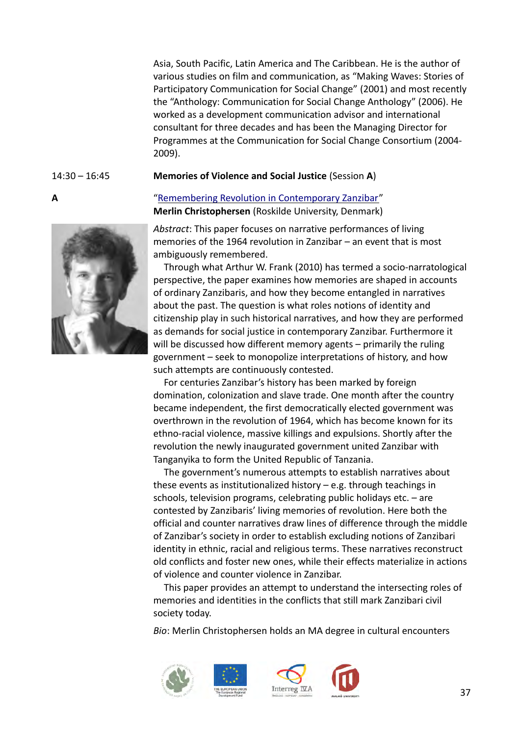Asia, South Pacific, Latin America and The Caribbean. He is the author of various studies on film and communication, as "Making Waves: Stories of Participatory Communication for Social Change" (2001) and most recently the "Anthology: Communication for Social Change Anthology" (2006). He worked as a development communication advisor and international consultant for three decades and has been the Managing Director for Programmes at the Communication for Social Change Consortium (2004- 2009).

## 14:30 – 16:45 **Memories of Violence and Social Justice** (Session **A**)

## **A** ["Remembering Revolution in Contemporary Zanzibar"](#page-6-3) **Merlin Christophersen** (Roskilde University, Denmark)

<span id="page-36-0"></span>*Abstract*: This paper focuses on narrative performances of living memories of the 1964 revolution in Zanzibar – an event that is most ambiguously remembered.

Through what Arthur W. Frank (2010) has termed a socio-narratological perspective, the paper examines how memories are shaped in accounts of ordinary Zanzibaris, and how they become entangled in narratives about the past. The question is what roles notions of identity and citizenship play in such historical narratives, and how they are performed as demands for social justice in contemporary Zanzibar. Furthermore it will be discussed how different memory agents – primarily the ruling government – seek to monopolize interpretations of history, and how such attempts are continuously contested.

For centuries Zanzibar's history has been marked by foreign domination, colonization and slave trade. One month after the country became independent, the first democratically elected government was overthrown in the revolution of 1964, which has become known for its ethno-racial violence, massive killings and expulsions. Shortly after the revolution the newly inaugurated government united Zanzibar with Tanganyika to form the United Republic of Tanzania.

The government's numerous attempts to establish narratives about these events as institutionalized history – e.g. through teachings in schools, television programs, celebrating public holidays etc. – are contested by Zanzibaris' living memories of revolution. Here both the official and counter narratives draw lines of difference through the middle of Zanzibar's society in order to establish excluding notions of Zanzibari identity in ethnic, racial and religious terms. These narratives reconstruct old conflicts and foster new ones, while their effects materialize in actions of violence and counter violence in Zanzibar.

This paper provides an attempt to understand the intersecting roles of memories and identities in the conflicts that still mark Zanzibari civil society today.

*Bio*: Merlin Christophersen holds an MA degree in cultural encounters









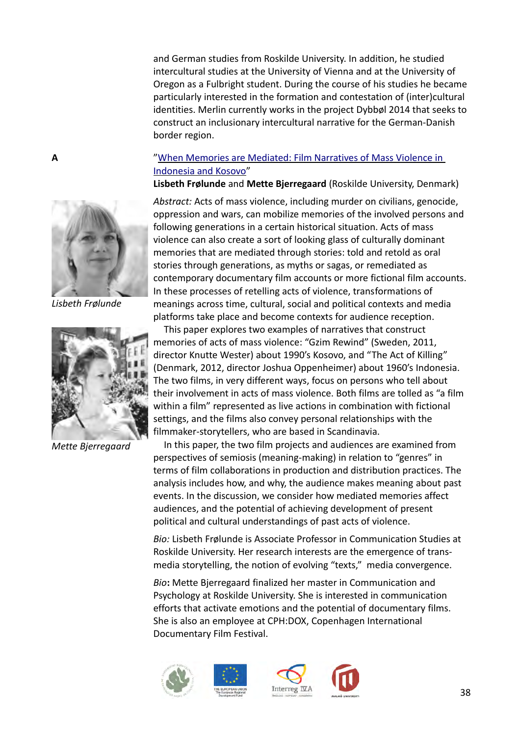and German studies from Roskilde University. In addition, he studied intercultural studies at the University of Vienna and at the University of Oregon as a Fulbright student. During the course of his studies he became particularly interested in the formation and contestation of (inter)cultural identities. Merlin currently works in the project Dybbøl 2014 that seeks to construct an inclusionary intercultural narrative for the German-Danish border region.

# **A** ["When Memories are Mediated: Film Narratives of Mass Violence in](#page-6-4)  [Indonesia and Kosovo"](#page-6-4)

<span id="page-37-0"></span>**Lisbeth Frølunde** and **Mette Bjerregaard** (Roskilde University, Denmark)

*Abstract:* Acts of mass violence, including murder on civilians, genocide, oppression and wars, can mobilize memories of the involved persons and following generations in a certain historical situation. Acts of mass violence can also create a sort of looking glass of culturally dominant memories that are mediated through stories: told and retold as oral stories through generations, as myths or sagas, or remediated as contemporary documentary film accounts or more fictional film accounts. In these processes of retelling acts of violence, transformations of meanings across time, cultural, social and political contexts and media platforms take place and become contexts for audience reception.

This paper explores two examples of narratives that construct memories of acts of mass violence: "Gzim Rewind" (Sweden, 2011, director Knutte Wester) about 1990's Kosovo, and "The Act of Killing" (Denmark, 2012, director Joshua Oppenheimer) about 1960's Indonesia. The two films, in very different ways, focus on persons who tell about their involvement in acts of mass violence. Both films are tolled as "a film within a film" represented as live actions in combination with fictional settings, and the films also convey personal relationships with the filmmaker-storytellers, who are based in Scandinavia.

In this paper, the two film projects and audiences are examined from perspectives of semiosis (meaning-making) in relation to "genres" in terms of film collaborations in production and distribution practices. The analysis includes how, and why, the audience makes meaning about past events. In the discussion, we consider how mediated memories affect audiences, and the potential of achieving development of present political and cultural understandings of past acts of violence.

*Bio:* Lisbeth Frølunde is Associate Professor in Communication Studies at Roskilde University. Her research interests are the emergence of transmedia storytelling, the notion of evolving "texts," media convergence.

*Bio***:** Mette Bjerregaard finalized her master in Communication and Psychology at Roskilde University. She is interested in communication efforts that activate emotions and the potential of documentary films. She is also an employee at CPH:DOX, Copenhagen International Documentary Film Festival.









*Lisbeth Frølunde*



*Mette Bjerregaard*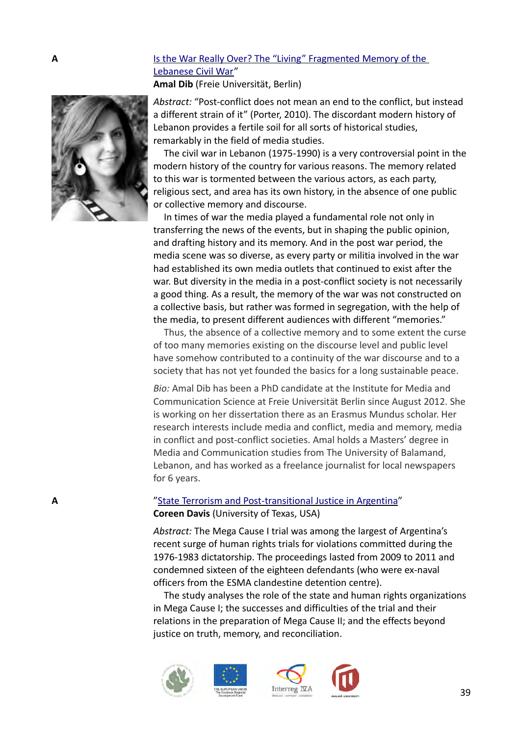# **A Is the War Really Over? The "Living" Fragmented Memory of the** [Lebanese Civil War"](#page-6-6)

<span id="page-38-1"></span>**Amal Dib** (Freie Universität, Berlin)

*Abstract:* "Post-conflict does not mean an end to the conflict, but instead a different strain of it" (Porter, 2010). The discordant modern history of Lebanon provides a fertile soil for all sorts of historical studies, remarkably in the field of media studies.

The civil war in Lebanon (1975-1990) is a very controversial point in the modern history of the country for various reasons. The memory related to this war is tormented between the various actors, as each party, religious sect, and area has its own history, in the absence of one public or collective memory and discourse.

In times of war the media played a fundamental role not only in transferring the news of the events, but in shaping the public opinion, and drafting history and its memory. And in the post war period, the media scene was so diverse, as every party or militia involved in the war had established its own media outlets that continued to exist after the war. But diversity in the media in a post-conflict society is not necessarily a good thing. As a result, the memory of the war was not constructed on a collective basis, but rather was formed in segregation, with the help of the media, to present different audiences with different "memories."

Thus, the absence of a collective memory and to some extent the curse of too many memories existing on the discourse level and public level have somehow contributed to a continuity of the war discourse and to a society that has not yet founded the basics for a long sustainable peace.

*Bio:* Amal Dib has been a PhD candidate at the Institute for Media and Communication Science at Freie Universität Berlin since August 2012. She is working on her dissertation there as an Erasmus Mundus scholar. Her research interests include media and conflict, media and memory, media in conflict and post-conflict societies. Amal holds a Masters' degree in Media and Communication studies from The University of Balamand, Lebanon, and has worked as a freelance journalist for local newspapers for 6 years.

# **A A Terrorism** and Post-transitional Justice in Argentina" **Coreen Davis** (University of Texas, USA)

<span id="page-38-0"></span>*Abstract:* The Mega Cause I trial was among the largest of Argentina's recent surge of human rights trials for violations committed during the 1976-1983 dictatorship. The proceedings lasted from 2009 to 2011 and condemned sixteen of the eighteen defendants (who were ex-naval officers from the ESMA clandestine detention centre).

The study analyses the role of the state and human rights organizations in Mega Cause I; the successes and difficulties of the trial and their relations in the preparation of Mega Cause II; and the effects beyond justice on truth, memory, and reconciliation.









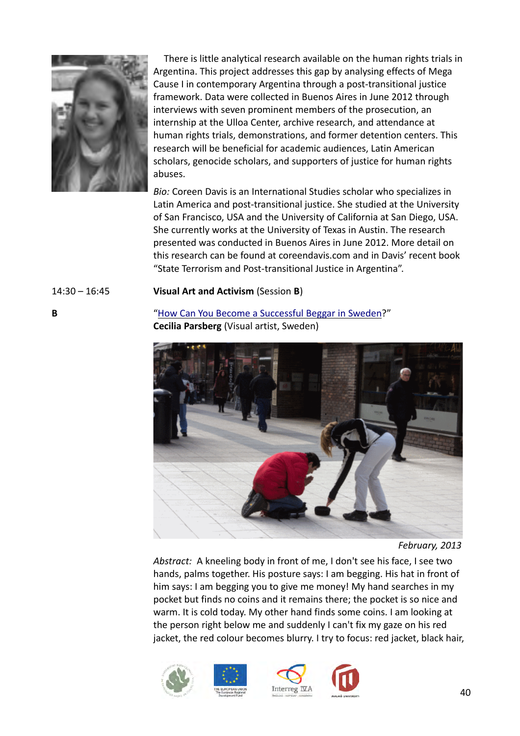

There is little analytical research available on the human rights trials in Argentina. This project addresses this gap by analysing effects of Mega Cause I in contemporary Argentina through a post-transitional justice framework. Data were collected in Buenos Aires in June 2012 through interviews with seven prominent members of the prosecution, an internship at the Ulloa Center, archive research, and attendance at human rights trials, demonstrations, and former detention centers. This research will be beneficial for academic audiences, Latin American scholars, genocide scholars, and supporters of justice for human rights abuses.

*Bio:* Coreen Davis is an International Studies scholar who specializes in Latin America and post-transitional justice. She studied at the University of San Francisco, USA and the University of California at San Diego, USA. She currently works at the University of Texas in Austin. The research presented was conducted in Buenos Aires in June 2012. More detail on this research can be found at coreendavis.com and in Davis' recent book "State Terrorism and Post-transitional Justice in Argentina".

# 14:30 – 16:45 **Visual Art and Activism** (Session **B**)

**B** "How Can You Become a Successful Beggar in Sweden?" **Cecilia Parsberg** (Visual artist, Sweden)

<span id="page-39-0"></span>

*February, 2013*

*Abstract:* A kneeling body in front of me, I don't see his face, I see two hands, palms together. His posture says: I am begging. His hat in front of him says: I am begging you to give me money! My hand searches in my pocket but finds no coins and it remains there; the pocket is so nice and warm. It is cold today. My other hand finds some coins. I am looking at the person right below me and suddenly I can't fix my gaze on his red jacket, the red colour becomes blurry. I try to focus: red jacket, black hair,





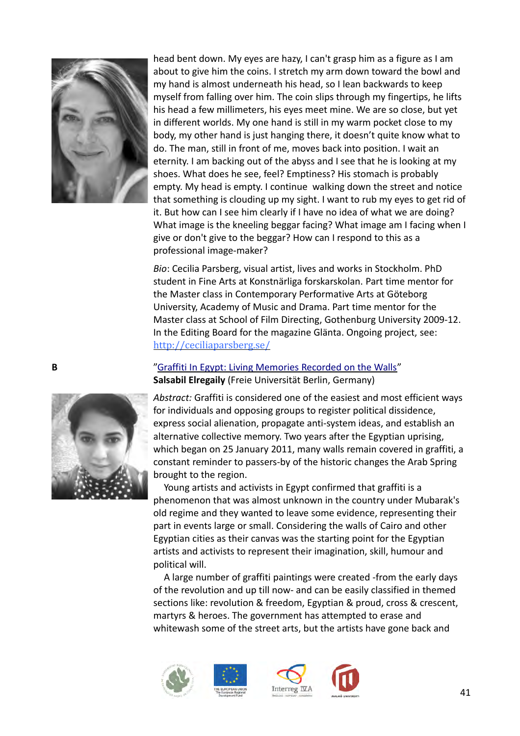

head bent down. My eyes are hazy, I can't grasp him as a figure as I am about to give him the coins. I stretch my arm down toward the bowl and my hand is almost underneath his head, so I lean backwards to keep myself from falling over him. The coin slips through my fingertips, he lifts his head a few millimeters, his eyes meet mine. We are so close, but yet in different worlds. My one hand is still in my warm pocket close to my body, my other hand is just hanging there, it doesn't quite know what to do. The man, still in front of me, moves back into position. I wait an eternity. I am backing out of the abyss and I see that he is looking at my shoes. What does he see, feel? Emptiness? His stomach is probably empty. My head is empty. I continue walking down the street and notice that something is clouding up my sight. I want to rub my eyes to get rid of it. But how can I see him clearly if I have no idea of what we are doing? What image is the kneeling beggar facing? What image am I facing when I give or don't give to the beggar? How can I respond to this as a professional image-maker?

*Bio*: Cecilia Parsberg, visual artist, lives and works in Stockholm. PhD student in Fine Arts at Konstnärliga forskarskolan. Part time mentor for the Master class in Contemporary Performative Arts at Göteborg University, Academy of Music and Drama. Part time mentor for the Master class at School of Film Directing, Gothenburg University 2009-12. In the Editing Board for the magazine Glänta. Ongoing project, see: [http://ceciliaparsberg.se/](http://ceciliaparsberg.se/how-do-you-become-a-successful-beggar-in-sweden/)

# **B** ["Graffiti In Egypt: Living Memories Recorded on the Walls"](#page-7-1) **Salsabil Elregaily** (Freie Universität Berlin, Germany)

<span id="page-40-0"></span>*Abstract:* Graffiti is considered one of the easiest and most efficient ways for individuals and opposing groups to register political dissidence, express social alienation, propagate anti-system ideas, and establish an alternative collective memory. Two years after the Egyptian uprising, which began on 25 January 2011, many walls remain covered in graffiti, a constant reminder to passers-by of the historic changes the Arab Spring brought to the region.

Young artists and activists in Egypt confirmed that graffiti is a phenomenon that was almost unknown in the country under Mubarak's old regime and they wanted to leave some evidence, representing their part in events large or small. Considering the walls of Cairo and other Egyptian cities as their canvas was the starting point for the Egyptian artists and activists to represent their imagination, skill, humour and political will.

A large number of graffiti paintings were created -from the early days of the revolution and up till now- and can be easily classified in themed sections like: revolution & freedom, Egyptian & proud, cross & crescent, martyrs & heroes. The government has attempted to erase and whitewash some of the street arts, but the artists have gone back and











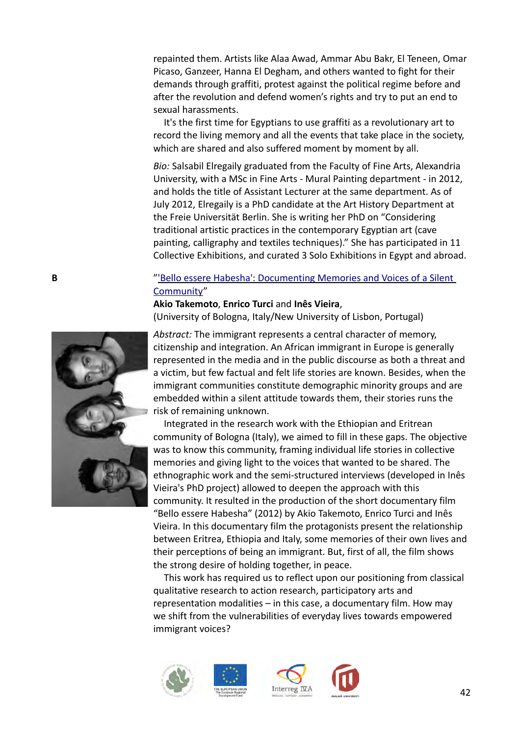repainted them. Artists like Alaa Awad, Ammar Abu Bakr, El Teneen, Omar Picaso, Ganzeer, Hanna El Degham, and others wanted to fight for their demands through graffiti, protest against the political regime before and after the revolution and defend women's rights and try to put an end to sexual harassments.

It's the first time for Egyptians to use graffiti as a revolutionary art to record the living memory and all the events that take place in the society, which are shared and also suffered moment by moment by all.

*Bio:* Salsabil Elregaily graduated from the Faculty of Fine Arts, Alexandria University, with a MSc in Fine Arts - Mural Painting department - in 2012, and holds the title of Assistant Lecturer at the same department. As of July 2012, Elregaily is a PhD candidate at the Art History Department at the Freie Universität Berlin. She is writing her PhD on "Considering traditional artistic practices in the contemporary Egyptian art (cave painting, calligraphy and textiles techniques)." She has participated in 11 Collective Exhibitions, and curated 3 Solo Exhibitions in Egypt and abroad.

# **B** The Music of the Base of the Silent of the Silent of the Silent of the Silent of the Silent of the Silent of the Silent of the Silent of the Silent of the Silent of the Silent of the Silent of the Silent of the Silent [Community"](#page-7-2)

<span id="page-41-0"></span>**Akio Takemoto**, **Enrico Turci** and **Inês Vieira**, (University of Bologna, Italy/New University of Lisbon, Portugal)

*Abstract:* The immigrant represents a central character of memory, citizenship and integration. An African immigrant in Europe is generally represented in the media and in the public discourse as both a threat and a victim, but few factual and felt life stories are known. Besides, when the immigrant communities constitute demographic minority groups and are embedded within a silent attitude towards them, their stories runs the risk of remaining unknown.

Integrated in the research work with the Ethiopian and Eritrean community of Bologna (Italy), we aimed to fill in these gaps. The objective was to know this community, framing individual life stories in collective memories and giving light to the voices that wanted to be shared. The ethnographic work and the semi-structured interviews (developed in Inês Vieira's PhD project) allowed to deepen the approach with this community. It resulted in the production of the short documentary film "Bello essere Habesha" (2012) by Akio Takemoto, Enrico Turci and Inês Vieira. In this documentary film the protagonists present the relationship between Eritrea, Ethiopia and Italy, some memories of their own lives and their perceptions of being an immigrant. But, first of all, the film shows the strong desire of holding together, in peace.

This work has required us to reflect upon our positioning from classical qualitative research to action research, participatory arts and representation modalities – in this case, a documentary film. How may we shift from the vulnerabilities of everyday lives towards empowered immigrant voices?









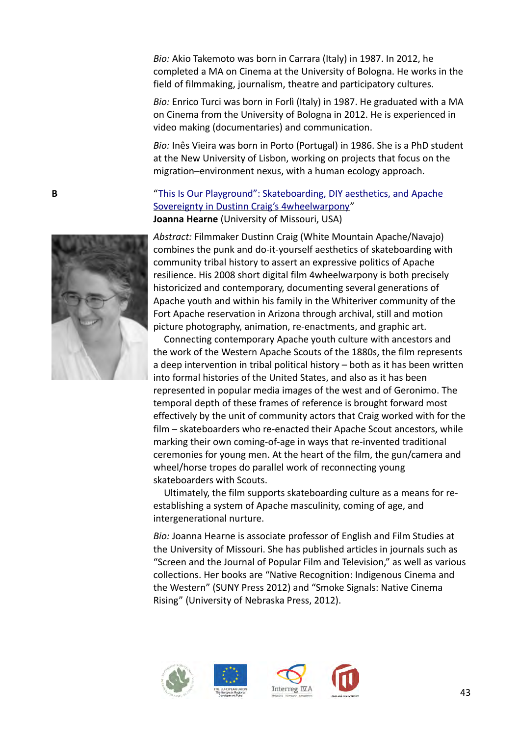*Bio:* Akio Takemoto was born in Carrara (Italy) in 1987. In 2012, he completed a MA on Cinema at the University of Bologna. He works in the field of filmmaking, journalism, theatre and participatory cultures.

*Bio:* Enrico Turci was born in Forlì (Italy) in 1987. He graduated with a MA on Cinema from the University of Bologna in 2012. He is experienced in video making (documentaries) and communication.

*Bio:* Inês Vieira was born in Porto (Portugal) in 1986. She is a PhD student at the New University of Lisbon, working on projects that focus on the migration–environment nexus, with a human ecology approach.

# **B** "This Is Our Playground": Skateboarding, DIY aesthetics, and Apache [Sovereignty in Dustinn Craig's 4wheelwarpony"](#page-7-3) **Joanna Hearne** (University of Missouri, USA)

<span id="page-42-0"></span>*Abstract:* Filmmaker Dustinn Craig (White Mountain Apache/Navajo) combines the punk and do-it-yourself aesthetics of skateboarding with community tribal history to assert an expressive politics of Apache resilience. His 2008 short digital film 4wheelwarpony is both precisely historicized and contemporary, documenting several generations of Apache youth and within his family in the Whiteriver community of the Fort Apache reservation in Arizona through archival, still and motion picture photography, animation, re-enactments, and graphic art.

Connecting contemporary Apache youth culture with ancestors and the work of the Western Apache Scouts of the 1880s, the film represents a deep intervention in tribal political history – both as it has been written into formal histories of the United States, and also as it has been represented in popular media images of the west and of Geronimo. The temporal depth of these frames of reference is brought forward most effectively by the unit of community actors that Craig worked with for the film – skateboarders who re-enacted their Apache Scout ancestors, while marking their own coming-of-age in ways that re-invented traditional ceremonies for young men. At the heart of the film, the gun/camera and wheel/horse tropes do parallel work of reconnecting young skateboarders with Scouts.

Ultimately, the film supports skateboarding culture as a means for reestablishing a system of Apache masculinity, coming of age, and intergenerational nurture.

*Bio:* Joanna Hearne is associate professor of English and Film Studies at the University of Missouri. She has published articles in journals such as "Screen and the Journal of Popular Film and Television," as well as various collections. Her books are "Native Recognition: Indigenous Cinema and the Western" (SUNY Press 2012) and "Smoke Signals: Native Cinema Rising" (University of Nebraska Press, 2012).







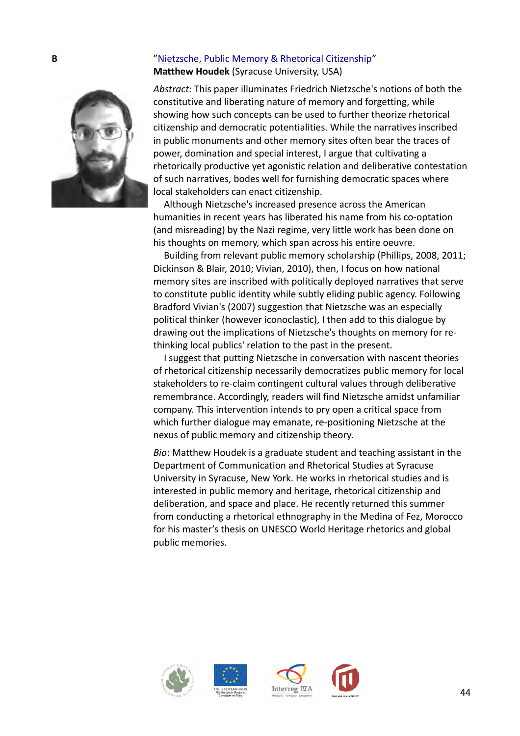# **B**  $\blacksquare$  ["Nietzsche, Public Memory & Rhetorical Citizenship"](#page-7-4) **Matthew Houdek** (Syracuse University, USA)

<span id="page-43-0"></span>*Abstract:* This paper illuminates Friedrich Nietzsche's notions of both the constitutive and liberating nature of memory and forgetting, while showing how such concepts can be used to further theorize rhetorical citizenship and democratic potentialities. While the narratives inscribed in public monuments and other memory sites often bear the traces of power, domination and special interest, I argue that cultivating a rhetorically productive yet agonistic relation and deliberative contestation of such narratives, bodes well for furnishing democratic spaces where local stakeholders can enact citizenship.

Although Nietzsche's increased presence across the American humanities in recent years has liberated his name from his co-optation (and misreading) by the Nazi regime, very little work has been done on his thoughts on memory, which span across his entire oeuvre.

Building from relevant public memory scholarship (Phillips, 2008, 2011; Dickinson & Blair, 2010; Vivian, 2010), then, I focus on how national memory sites are inscribed with politically deployed narratives that serve to constitute public identity while subtly eliding public agency. Following Bradford Vivian's (2007) suggestion that Nietzsche was an especially political thinker (however iconoclastic), I then add to this dialogue by drawing out the implications of Nietzsche's thoughts on memory for rethinking local publics' relation to the past in the present.

I suggest that putting Nietzsche in conversation with nascent theories of rhetorical citizenship necessarily democratizes public memory for local stakeholders to re-claim contingent cultural values through deliberative remembrance. Accordingly, readers will find Nietzsche amidst unfamiliar company. This intervention intends to pry open a critical space from which further dialogue may emanate, re-positioning Nietzsche at the nexus of public memory and citizenship theory.

*Bio*: Matthew Houdek is a graduate student and teaching assistant in the Department of Communication and Rhetorical Studies at Syracuse University in Syracuse, New York. He works in rhetorical studies and is interested in public memory and heritage, rhetorical citizenship and deliberation, and space and place. He recently returned this summer from conducting a rhetorical ethnography in the Medina of Fez, Morocco for his master's thesis on UNESCO World Heritage rhetorics and global public memories.







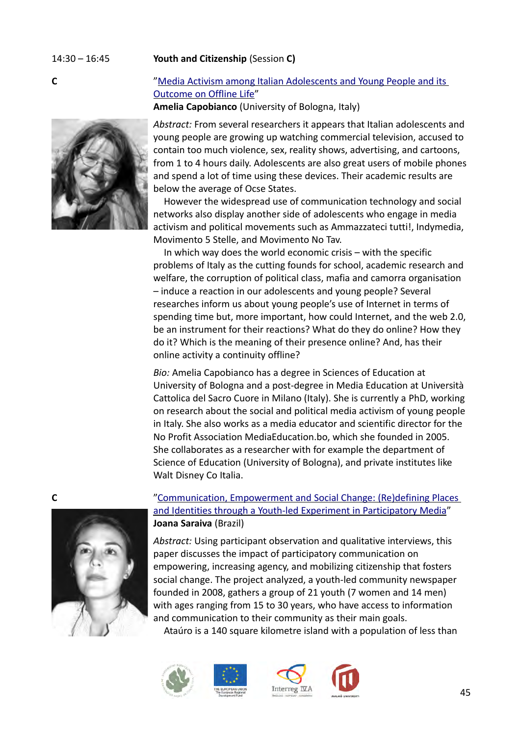# 14:30 – 16:45 **Youth and Citizenship** (Session **C)**

# **C** "Media Activism among Italian Adolescents and Young People and its [Outcome on Offline Life"](#page-7-6)

<span id="page-44-1"></span>**Amelia Capobianco** (University of Bologna, Italy)

*Abstract:* From several researchers it appears that Italian adolescents and young people are growing up watching commercial television, accused to contain too much violence, sex, reality shows, advertising, and cartoons, from 1 to 4 hours daily. Adolescents are also great users of mobile phones and spend a lot of time using these devices. Their academic results are below the average of Ocse States.

However the widespread use of communication technology and social networks also display another side of adolescents who engage in media activism and political movements such as Ammazzateci tutti!, Indymedia, Movimento 5 Stelle, and Movimento No Tav.

In which way does the world economic crisis – with the specific problems of Italy as the cutting founds for school, academic research and welfare, the corruption of political class, mafia and camorra organisation – induce a reaction in our adolescents and young people? Several researches inform us about young people's use of Internet in terms of spending time but, more important, how could Internet, and the web 2.0, be an instrument for their reactions? What do they do online? How they do it? Which is the meaning of their presence online? And, has their online activity a continuity offline?

*Bio:* Amelia Capobianco has a degree in Sciences of Education at University of Bologna and a post-degree in Media Education at Università Cattolica del Sacro Cuore in Milano (Italy). She is currently a PhD, working on research about the social and political media activism of young people in Italy. She also works as a media educator and scientific director for the No Profit Association MediaEducation.bo, which she founded in 2005. She collaborates as a researcher with for example the department of Science of Education (University of Bologna), and private institutes like Walt Disney Co Italia.



# **C**  $\blacksquare$   $\blacksquare$   $\blacksquare$   $\blacksquare$   $\blacksquare$   $\blacksquare$   $\blacksquare$   $\blacksquare$   $\blacksquare$   $\blacksquare$   $\blacksquare$   $\blacksquare$   $\blacksquare$   $\blacksquare$   $\blacksquare$   $\blacksquare$   $\blacksquare$   $\blacksquare$   $\blacksquare$   $\blacksquare$   $\blacksquare$   $\blacksquare$   $\blacksquare$   $\blacksquare$   $\blacksquare$   $\blacksquare$   $\blacksquare$   $\blacksquare$   $\blacksquare$   $\blacksquare$   $\blacksquare$  and Identities through a Youth-led Experiment in Participatory Media" **Joana Saraiva** (Brazil)

<span id="page-44-0"></span>*Abstract:* Using participant observation and qualitative interviews, this paper discusses the impact of participatory communication on empowering, increasing agency, and mobilizing citizenship that fosters social change. The project analyzed, a youth-led community newspaper founded in 2008, gathers a group of 21 youth (7 women and 14 men) with ages ranging from 15 to 30 years, who have access to information and communication to their community as their main goals.

Ataúro is a 140 square kilometre island with a population of less than





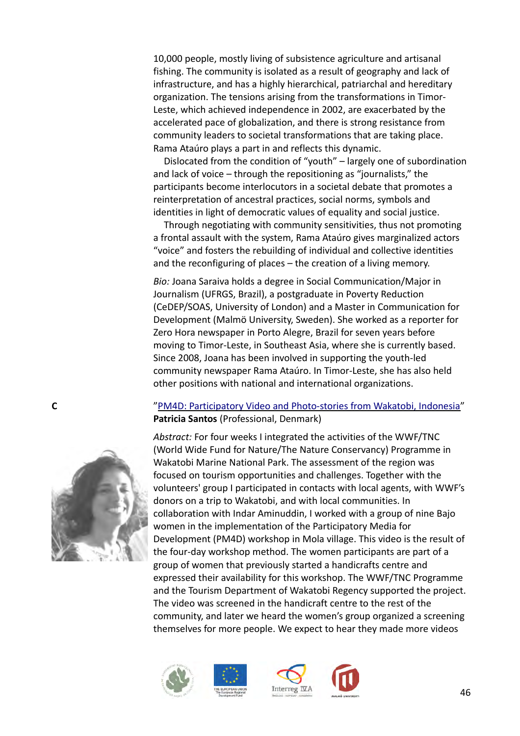10,000 people, mostly living of subsistence agriculture and artisanal fishing. The community is isolated as a result of geography and lack of infrastructure, and has a highly hierarchical, patriarchal and hereditary organization. The tensions arising from the transformations in Timor-Leste, which achieved independence in 2002, are exacerbated by the accelerated pace of globalization, and there is strong resistance from community leaders to societal transformations that are taking place. Rama Ataúro plays a part in and reflects this dynamic.

Dislocated from the condition of "youth" – largely one of subordination and lack of voice – through the repositioning as "journalists," the participants become interlocutors in a societal debate that promotes a reinterpretation of ancestral practices, social norms, symbols and identities in light of democratic values of equality and social justice.

Through negotiating with community sensitivities, thus not promoting a frontal assault with the system, Rama Ataúro gives marginalized actors "voice" and fosters the rebuilding of individual and collective identities and the reconfiguring of places – the creation of a living memory.

*Bio:* Joana Saraiva holds a degree in Social Communication/Major in Journalism (UFRGS, Brazil), a postgraduate in Poverty Reduction (CeDEP/SOAS, University of London) and a Master in Communication for Development (Malmö University, Sweden). She worked as a reporter for Zero Hora newspaper in Porto Alegre, Brazil for seven years before moving to Timor-Leste, in Southeast Asia, where she is currently based. Since 2008, Joana has been involved in supporting the youth-led community newspaper Rama Ataúro. In Timor-Leste, she has also held other positions with national and international organizations.

# **C** ["PM4D: Participatory Video and Photo-stories from Wakatobi, Indonesia"](#page-7-7) **Patricia Santos** (Professional, Denmark)

<span id="page-45-0"></span>*Abstract:* For four weeks I integrated the activities of the WWF/TNC (World Wide Fund for Nature/The Nature Conservancy) Programme in Wakatobi Marine National Park. The assessment of the region was focused on tourism opportunities and challenges. Together with the volunteers' group I participated in contacts with local agents, with WWF's donors on a trip to Wakatobi, and with local communities. In collaboration with Indar Aminuddin, I worked with a group of nine Bajo women in the implementation of the Participatory Media for Development (PM4D) workshop in Mola village. This video is the result of the four-day workshop method. The women participants are part of a group of women that previously started a handicrafts centre and expressed their availability for this workshop. The WWF/TNC Programme and the Tourism Department of Wakatobi Regency supported the project. The video was screened in the handicraft centre to the rest of the community, and later we heard the women's group organized a screening themselves for more people. We expect to hear they made more videos